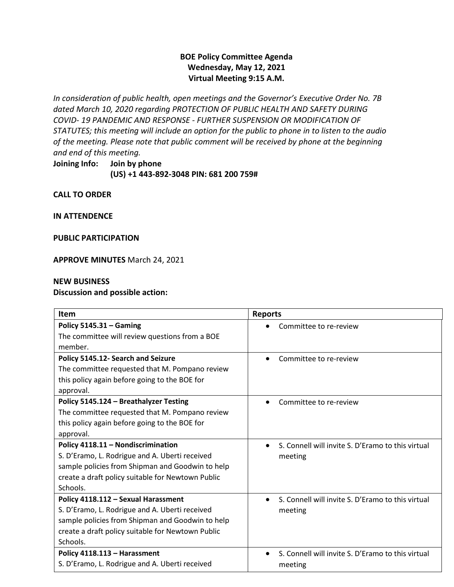# **BOE Policy Committee Agenda Wednesday, May 12, 2021 Virtual Meeting 9:15 A.M.**

*In consideration of public health, open meetings and the Governor's Executive Order No. 7B dated March 10, 2020 regarding PROTECTION OF PUBLIC HEALTH AND SAFETY DURING COVID- 19 PANDEMIC AND RESPONSE - FURTHER SUSPENSION OR MODIFICATION OF STATUTES; this meeting will include an option for the public to phone in to listen to the audio of the meeting. Please note that public comment will be received by phone at the beginning and end of this meeting.*

**Joining Info: Join by phone (US) +1 443-892-3048 PIN: 681 200 759#**

**CALL TO ORDER**

**IN ATTENDENCE** 

**PUBLIC PARTICIPATION**

**APPROVE MINUTES** March 24, 2021

#### **NEW BUSINESS**

#### **Discussion and possible action:**

| <b>Item</b>                                       | <b>Reports</b>                                                 |
|---------------------------------------------------|----------------------------------------------------------------|
| Policy $5145.31 -$ Gaming                         | Committee to re-review                                         |
| The committee will review questions from a BOE    |                                                                |
| member.                                           |                                                                |
| Policy 5145.12- Search and Seizure                | Committee to re-review<br>$\bullet$                            |
| The committee requested that M. Pompano review    |                                                                |
| this policy again before going to the BOE for     |                                                                |
| approval.                                         |                                                                |
| Policy 5145.124 - Breathalyzer Testing            | Committee to re-review<br>$\bullet$                            |
| The committee requested that M. Pompano review    |                                                                |
| this policy again before going to the BOE for     |                                                                |
| approval.                                         |                                                                |
| Policy 4118.11 - Nondiscrimination                | S. Connell will invite S. D'Eramo to this virtual<br>$\bullet$ |
| S. D'Eramo, L. Rodrigue and A. Uberti received    | meeting                                                        |
| sample policies from Shipman and Goodwin to help  |                                                                |
| create a draft policy suitable for Newtown Public |                                                                |
| Schools.                                          |                                                                |
| Policy 4118.112 - Sexual Harassment               | S. Connell will invite S. D'Eramo to this virtual<br>$\bullet$ |
| S. D'Eramo, L. Rodrigue and A. Uberti received    | meeting                                                        |
| sample policies from Shipman and Goodwin to help  |                                                                |
| create a draft policy suitable for Newtown Public |                                                                |
| Schools.                                          |                                                                |
| Policy 4118.113 - Harassment                      | S. Connell will invite S. D'Eramo to this virtual<br>$\bullet$ |
| S. D'Eramo, L. Rodrigue and A. Uberti received    | meeting                                                        |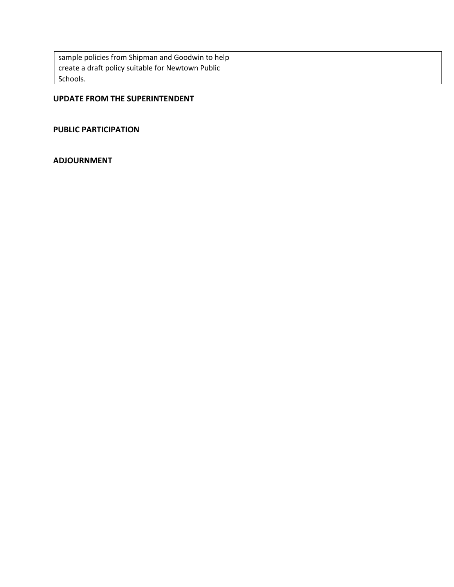| sample policies from Shipman and Goodwin to help  |  |
|---------------------------------------------------|--|
| create a draft policy suitable for Newtown Public |  |
| Schools.                                          |  |

#### **UPDATE FROM THE SUPERINTENDENT**

#### **PUBLIC PARTICIPATION**

# **ADJOURNMENT**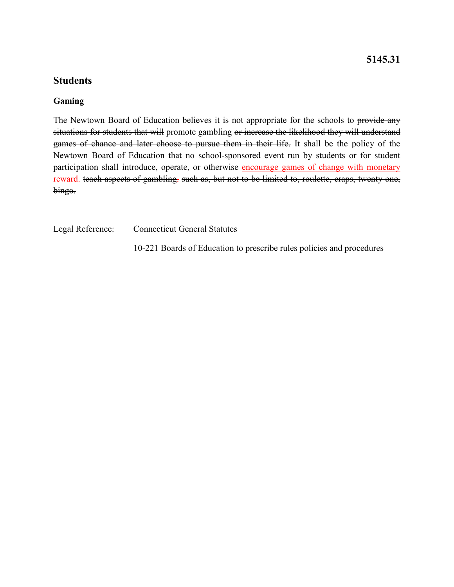# **5145.31**

# **Students**

#### **Gaming**

The Newtown Board of Education believes it is not appropriate for the schools to provide any situations for students that will promote gambling or increase the likelihood they will understand games of chance and later choose to pursue them in their life. It shall be the policy of the Newtown Board of Education that no school-sponsored event run by students or for student participation shall introduce, operate, or otherwise encourage games of change with monetary reward. teach aspects of gambling. such as, but not to be limited to, roulette, craps, twenty one, bingo.

Legal Reference: Connecticut General Statutes

10-221 Boards of Education to prescribe rules policies and procedures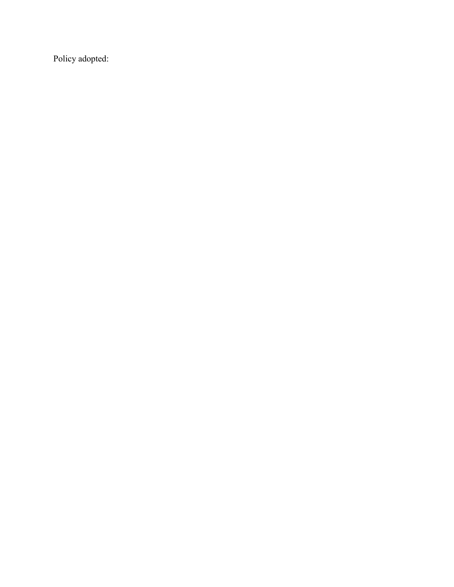Policy adopted: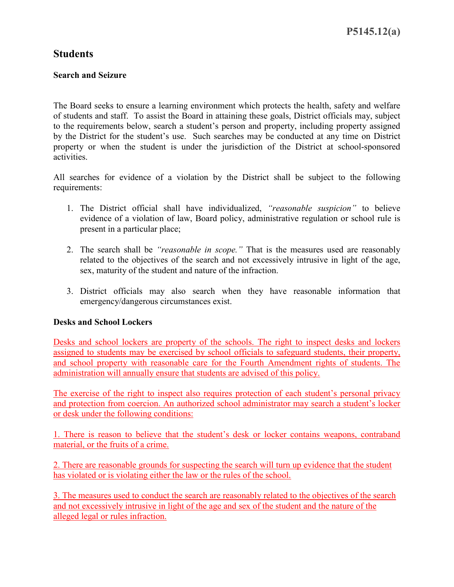# **Search and Seizure**

The Board seeks to ensure a learning environment which protects the health, safety and welfare of students and staff. To assist the Board in attaining these goals, District officials may, subject to the requirements below, search a student's person and property, including property assigned by the District for the student's use. Such searches may be conducted at any time on District property or when the student is under the jurisdiction of the District at school-sponsored activities.

All searches for evidence of a violation by the District shall be subject to the following requirements:

- 1. The District official shall have individualized, *"reasonable suspicion"* to believe evidence of a violation of law, Board policy, administrative regulation or school rule is present in a particular place;
- 2. The search shall be *"reasonable in scope."* That is the measures used are reasonably related to the objectives of the search and not excessively intrusive in light of the age, sex, maturity of the student and nature of the infraction.
- 3. District officials may also search when they have reasonable information that emergency/dangerous circumstances exist.

# **Desks and School Lockers**

Desks and school lockers are property of the schools. The right to inspect desks and lockers assigned to students may be exercised by school officials to safeguard students, their property, and school property with reasonable care for the Fourth Amendment rights of students. The administration will annually ensure that students are advised of this policy.

The exercise of the right to inspect also requires protection of each student's personal privacy and protection from coercion. An authorized school administrator may search a student's locker or desk under the following conditions:

1. There is reason to believe that the student's desk or locker contains weapons, contraband material, or the fruits of a crime.

2. There are reasonable grounds for suspecting the search will turn up evidence that the student has violated or is violating either the law or the rules of the school.

3. The measures used to conduct the search are reasonably related to the objectives of the search and not excessively intrusive in light of the age and sex of the student and the nature of the alleged legal or rules infraction.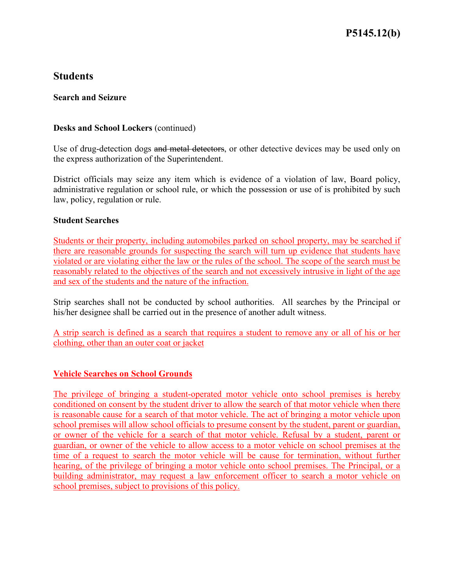### **Search and Seizure**

### **Desks and School Lockers** (continued)

Use of drug-detection dogs and metal detectors, or other detective devices may be used only on the express authorization of the Superintendent.

District officials may seize any item which is evidence of a violation of law, Board policy, administrative regulation or school rule, or which the possession or use of is prohibited by such law, policy, regulation or rule.

#### **Student Searches**

Students or their property, including automobiles parked on school property, may be searched if there are reasonable grounds for suspecting the search will turn up evidence that students have violated or are violating either the law or the rules of the school. The scope of the search must be reasonably related to the objectives of the search and not excessively intrusive in light of the age and sex of the students and the nature of the infraction.

Strip searches shall not be conducted by school authorities. All searches by the Principal or his/her designee shall be carried out in the presence of another adult witness.

A strip search is defined as a search that requires a student to remove any or all of his or her clothing, other than an outer coat or jacket

# **Vehicle Searches on School Grounds**

The privilege of bringing a student-operated motor vehicle onto school premises is hereby conditioned on consent by the student driver to allow the search of that motor vehicle when there is reasonable cause for a search of that motor vehicle. The act of bringing a motor vehicle upon school premises will allow school officials to presume consent by the student, parent or guardian, or owner of the vehicle for a search of that motor vehicle. Refusal by a student, parent or guardian, or owner of the vehicle to allow access to a motor vehicle on school premises at the time of a request to search the motor vehicle will be cause for termination, without further hearing, of the privilege of bringing a motor vehicle onto school premises. The Principal, or a building administrator, may request a law enforcement officer to search a motor vehicle on school premises, subject to provisions of this policy.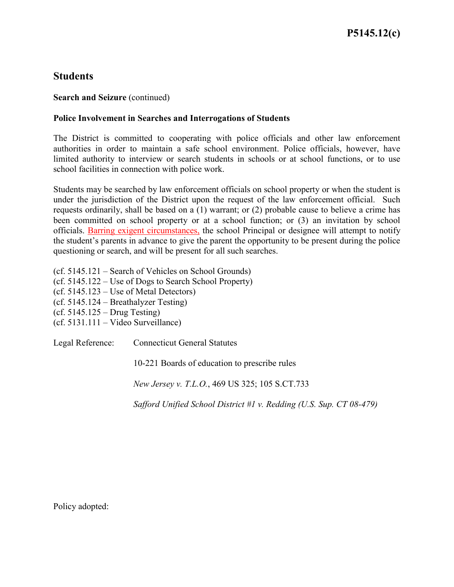### **Search and Seizure** (continued)

### **Police Involvement in Searches and Interrogations of Students**

The District is committed to cooperating with police officials and other law enforcement authorities in order to maintain a safe school environment. Police officials, however, have limited authority to interview or search students in schools or at school functions, or to use school facilities in connection with police work.

Students may be searched by law enforcement officials on school property or when the student is under the jurisdiction of the District upon the request of the law enforcement official. Such requests ordinarily, shall be based on a (1) warrant; or (2) probable cause to believe a crime has been committed on school property or at a school function; or (3) an invitation by school officials. Barring exigent circumstances, the school Principal or designee will attempt to notify the student's parents in advance to give the parent the opportunity to be present during the police questioning or search, and will be present for all such searches.

(cf. 5145.121 – Search of Vehicles on School Grounds) (cf. 5145.122 – Use of Dogs to Search School Property) (cf. 5145.123 – Use of Metal Detectors) (cf. 5145.124 – Breathalyzer Testing) (cf. 5145.125 – Drug Testing) (cf. 5131.111 – Video Surveillance)

Legal Reference: Connecticut General Statutes

10-221 Boards of education to prescribe rules

*New Jersey v. T.L.O.*, 469 US 325; 105 S.CT.733

*Safford Unified School District #1 v. Redding (U.S. Sup. CT 08-479)*

Policy adopted: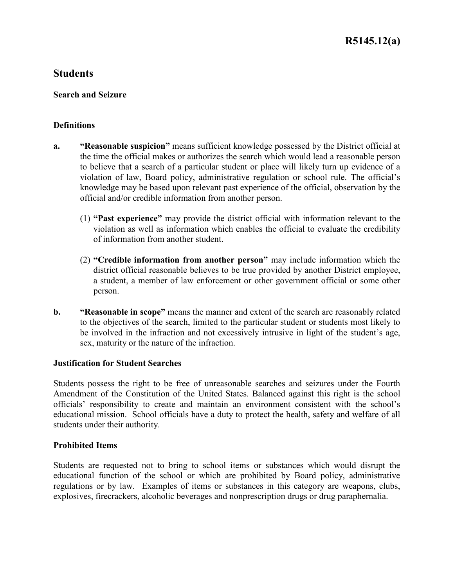### **Search and Seizure**

### **Definitions**

- **a. "Reasonable suspicion"** means sufficient knowledge possessed by the District official at the time the official makes or authorizes the search which would lead a reasonable person to believe that a search of a particular student or place will likely turn up evidence of a violation of law, Board policy, administrative regulation or school rule. The official's knowledge may be based upon relevant past experience of the official, observation by the official and/or credible information from another person.
	- (1) **"Past experience"** may provide the district official with information relevant to the violation as well as information which enables the official to evaluate the credibility of information from another student.
	- (2) **"Credible information from another person"** may include information which the district official reasonable believes to be true provided by another District employee, a student, a member of law enforcement or other government official or some other person.
- **b. "Reasonable in scope"** means the manner and extent of the search are reasonably related to the objectives of the search, limited to the particular student or students most likely to be involved in the infraction and not excessively intrusive in light of the student's age, sex, maturity or the nature of the infraction.

#### **Justification for Student Searches**

Students possess the right to be free of unreasonable searches and seizures under the Fourth Amendment of the Constitution of the United States. Balanced against this right is the school officials' responsibility to create and maintain an environment consistent with the school's educational mission. School officials have a duty to protect the health, safety and welfare of all students under their authority.

#### **Prohibited Items**

Students are requested not to bring to school items or substances which would disrupt the educational function of the school or which are prohibited by Board policy, administrative regulations or by law. Examples of items or substances in this category are weapons, clubs, explosives, firecrackers, alcoholic beverages and nonprescription drugs or drug paraphernalia.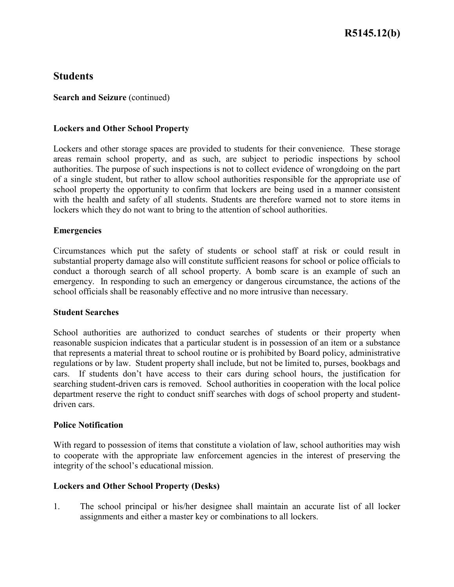**Search and Seizure** (continued)

### **Lockers and Other School Property**

Lockers and other storage spaces are provided to students for their convenience. These storage areas remain school property, and as such, are subject to periodic inspections by school authorities. The purpose of such inspections is not to collect evidence of wrongdoing on the part of a single student, but rather to allow school authorities responsible for the appropriate use of school property the opportunity to confirm that lockers are being used in a manner consistent with the health and safety of all students. Students are therefore warned not to store items in lockers which they do not want to bring to the attention of school authorities.

### **Emergencies**

Circumstances which put the safety of students or school staff at risk or could result in substantial property damage also will constitute sufficient reasons for school or police officials to conduct a thorough search of all school property. A bomb scare is an example of such an emergency. In responding to such an emergency or dangerous circumstance, the actions of the school officials shall be reasonably effective and no more intrusive than necessary.

#### **Student Searches**

School authorities are authorized to conduct searches of students or their property when reasonable suspicion indicates that a particular student is in possession of an item or a substance that represents a material threat to school routine or is prohibited by Board policy, administrative regulations or by law. Student property shall include, but not be limited to, purses, bookbags and cars. If students don't have access to their cars during school hours, the justification for searching student-driven cars is removed. School authorities in cooperation with the local police department reserve the right to conduct sniff searches with dogs of school property and studentdriven cars.

#### **Police Notification**

With regard to possession of items that constitute a violation of law, school authorities may wish to cooperate with the appropriate law enforcement agencies in the interest of preserving the integrity of the school's educational mission.

#### **Lockers and Other School Property (Desks)**

1. The school principal or his/her designee shall maintain an accurate list of all locker assignments and either a master key or combinations to all lockers.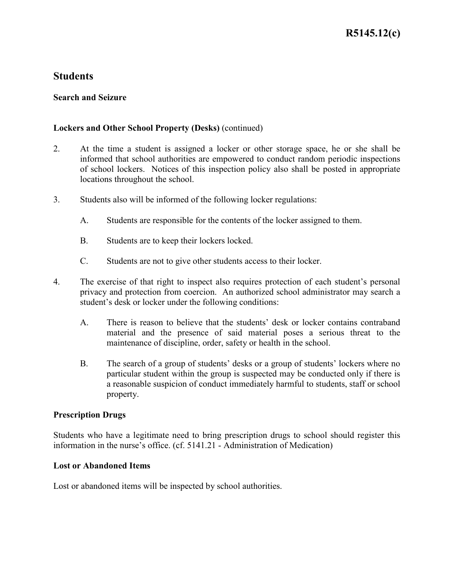### **Search and Seizure**

### **Lockers and Other School Property (Desks)** (continued)

- 2. At the time a student is assigned a locker or other storage space, he or she shall be informed that school authorities are empowered to conduct random periodic inspections of school lockers. Notices of this inspection policy also shall be posted in appropriate locations throughout the school.
- 3. Students also will be informed of the following locker regulations:
	- A. Students are responsible for the contents of the locker assigned to them.
	- B. Students are to keep their lockers locked.
	- C. Students are not to give other students access to their locker.
- 4. The exercise of that right to inspect also requires protection of each student's personal privacy and protection from coercion. An authorized school administrator may search a student's desk or locker under the following conditions:
	- A. There is reason to believe that the students' desk or locker contains contraband material and the presence of said material poses a serious threat to the maintenance of discipline, order, safety or health in the school.
	- B. The search of a group of students' desks or a group of students' lockers where no particular student within the group is suspected may be conducted only if there is a reasonable suspicion of conduct immediately harmful to students, staff or school property.

#### **Prescription Drugs**

Students who have a legitimate need to bring prescription drugs to school should register this information in the nurse's office. (cf. 5141.21 - Administration of Medication)

#### **Lost or Abandoned Items**

Lost or abandoned items will be inspected by school authorities.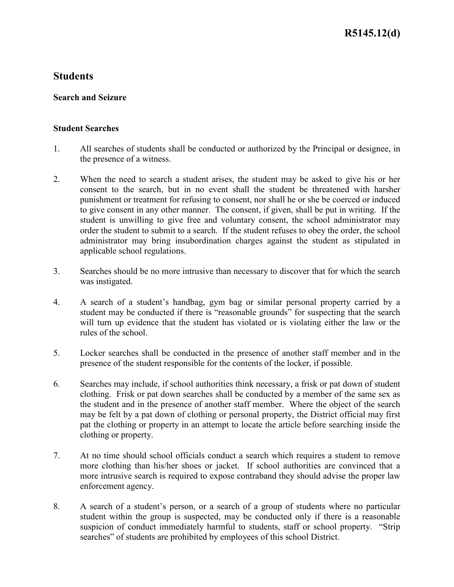### **Search and Seizure**

### **Student Searches**

- 1. All searches of students shall be conducted or authorized by the Principal or designee, in the presence of a witness.
- 2. When the need to search a student arises, the student may be asked to give his or her consent to the search, but in no event shall the student be threatened with harsher punishment or treatment for refusing to consent, nor shall he or she be coerced or induced to give consent in any other manner. The consent, if given, shall be put in writing. If the student is unwilling to give free and voluntary consent, the school administrator may order the student to submit to a search. If the student refuses to obey the order, the school administrator may bring insubordination charges against the student as stipulated in applicable school regulations.
- 3. Searches should be no more intrusive than necessary to discover that for which the search was instigated.
- 4. A search of a student's handbag, gym bag or similar personal property carried by a student may be conducted if there is "reasonable grounds" for suspecting that the search will turn up evidence that the student has violated or is violating either the law or the rules of the school.
- 5. Locker searches shall be conducted in the presence of another staff member and in the presence of the student responsible for the contents of the locker, if possible.
- 6. Searches may include, if school authorities think necessary, a frisk or pat down of student clothing. Frisk or pat down searches shall be conducted by a member of the same sex as the student and in the presence of another staff member. Where the object of the search may be felt by a pat down of clothing or personal property, the District official may first pat the clothing or property in an attempt to locate the article before searching inside the clothing or property.
- 7. At no time should school officials conduct a search which requires a student to remove more clothing than his/her shoes or jacket. If school authorities are convinced that a more intrusive search is required to expose contraband they should advise the proper law enforcement agency.
- 8. A search of a student's person, or a search of a group of students where no particular student within the group is suspected, may be conducted only if there is a reasonable suspicion of conduct immediately harmful to students, staff or school property. "Strip searches" of students are prohibited by employees of this school District.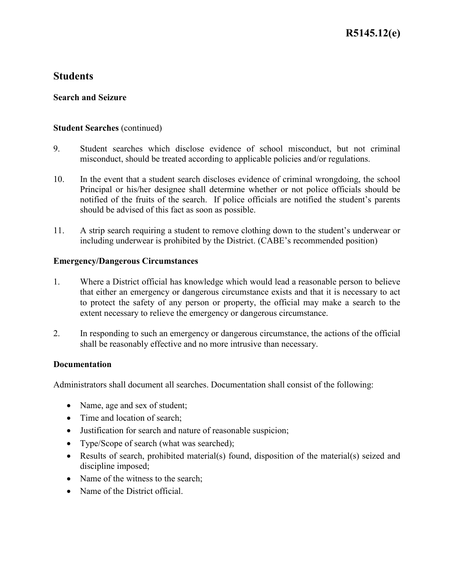# **Search and Seizure**

# **Student Searches** (continued)

- 9. Student searches which disclose evidence of school misconduct, but not criminal misconduct, should be treated according to applicable policies and/or regulations.
- 10. In the event that a student search discloses evidence of criminal wrongdoing, the school Principal or his/her designee shall determine whether or not police officials should be notified of the fruits of the search. If police officials are notified the student's parents should be advised of this fact as soon as possible.
- 11. A strip search requiring a student to remove clothing down to the student's underwear or including underwear is prohibited by the District. (CABE's recommended position)

# **Emergency/Dangerous Circumstances**

- 1. Where a District official has knowledge which would lead a reasonable person to believe that either an emergency or dangerous circumstance exists and that it is necessary to act to protect the safety of any person or property, the official may make a search to the extent necessary to relieve the emergency or dangerous circumstance.
- 2. In responding to such an emergency or dangerous circumstance, the actions of the official shall be reasonably effective and no more intrusive than necessary.

# **Documentation**

Administrators shall document all searches. Documentation shall consist of the following:

- Name, age and sex of student;
- Time and location of search;
- Justification for search and nature of reasonable suspicion;
- Type/Scope of search (what was searched);
- Results of search, prohibited material(s) found, disposition of the material(s) seized and discipline imposed;
- Name of the witness to the search;
- Name of the District official.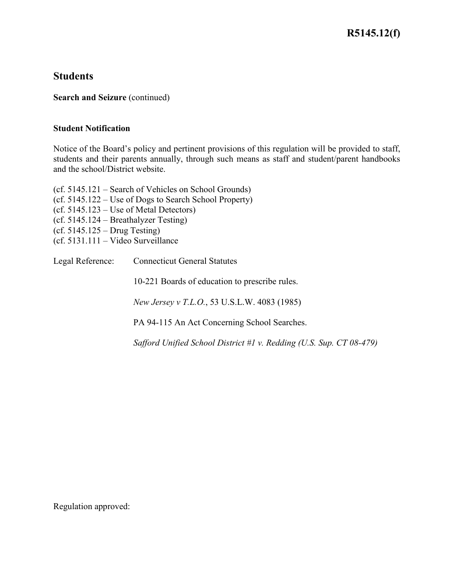# **R5145.12(f)**

# **Students**

**Search and Seizure** (continued)

#### **Student Notification**

Notice of the Board's policy and pertinent provisions of this regulation will be provided to staff, students and their parents annually, through such means as staff and student/parent handbooks and the school/District website.

(cf. 5145.121 – Search of Vehicles on School Grounds) (cf. 5145.122 – Use of Dogs to Search School Property) (cf. 5145.123 – Use of Metal Detectors) (cf. 5145.124 – Breathalyzer Testing) (cf. 5145.125 – Drug Testing) (cf. 5131.111 – Video Surveillance Legal Reference: Connecticut General Statutes

10-221 Boards of education to prescribe rules.

*New Jersey v T.L.O.*, 53 U.S.L.W. 4083 (1985)

PA 94-115 An Act Concerning School Searches.

*Safford Unified School District #1 v. Redding (U.S. Sup. CT 08-479)*

Regulation approved: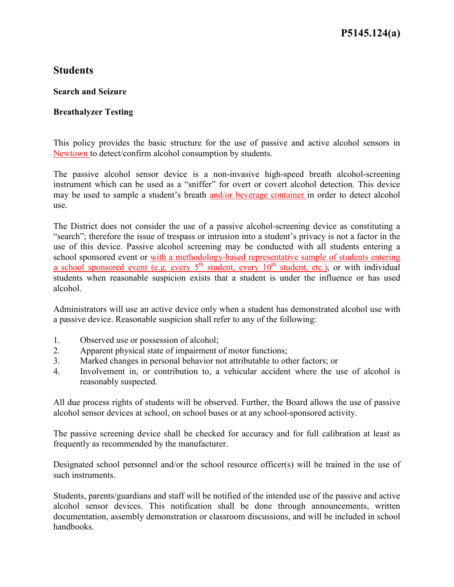# **Search and Seizure**

# **Breathalyzer Testing**

This policy provides the basic structure for the use of passive and active alcohol sensors in Newtown to detect/confirm alcohol consumption by students.

The passive alcohol sensor device is a non-invasive high-speed breath alcohol-screening instrument which can be used as a "sniffer" for overt or covert alcohol detection. This device may be used to sample a student's breath and/or beverage container in order to detect alcohol use.

The District does not consider the use of a passive alcohol-screening device as constituting a "search"; therefore the issue of trespass or intrusion into a student's privacy is not a factor in the use of this device. Passive alcohol screening may be conducted with all students entering a school sponsored event or with a methodology-based representative sample of students entering a school sponsored event  $\overline{(e.g. every 5<sup>th</sup> student, every 10<sup>th</sup> student, etc.)}$  or with individual students when reasonable suspicion exists that a student is under the influence or has used alcohol.

Administrators will use an active device only when a student has demonstrated alcohol use with a passive device. Reasonable suspicion shall refer to any of the following:

- 1. Observed use or possession of alcohol;
- 2. Apparent physical state of impairment of motor functions;
- 3. Marked changes in personal behavior not attributable to other factors; or
- 4. Involvement in, or contribution to, a vehicular accident where the use of alcohol is reasonably suspected.

All due process rights of students will be observed. Further, the Board allows the use of passive alcohol sensor devices at school, on school buses or at any school-sponsored activity.

The passive screening device shall be checked for accuracy and for full calibration at least as frequently as recommended by the manufacturer.

Designated school personnel and/or the school resource officer(s) will be trained in the use of such instruments.

Students, parents/guardians and staff will be notified of the intended use of the passive and active alcohol sensor devices. This notification shall be done through announcements, written documentation, assembly demonstration or classroom discussions, and will be included in school handbooks.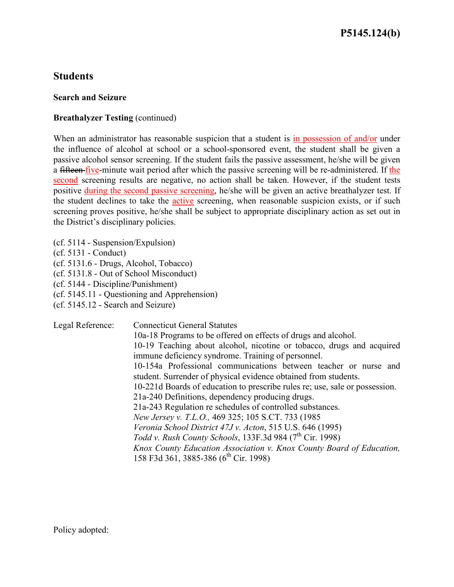### **Search and Seizure**

# **Breathalyzer Testing (continued)**

When an administrator has reasonable suspicion that a student is in possession of and/or under the influence of alcohol at school or a school-sponsored event, the student shall be given a passive alcohol sensor screening. If the student fails the passive assessment, he/she will be given a fifteen five-minute wait period after which the passive screening will be re-administered. If the second screening results are negative, no action shall be taken. However, if the student tests positive during the second passive screening, he/she will be given an active breathalyzer test. If the student declines to take the active screening, when reasonable suspicion exists, or if such screening proves positive, he/she shall be subject to appropriate disciplinary action as set out in the District's disciplinary policies.

(cf. 5114 - Suspension/Expulsion)

(cf. 5131 - Conduct)

(cf. 5131.6 - Drugs, Alcohol, Tobacco)

(cf. 5131.8 - Out of School Misconduct)

- (cf. 5144 Discipline/Punishment)
- (cf. 5145.11 Questioning and Apprehension)
- (cf. 5145.12 Search and Seizure)

Legal Reference: Connecticut General Statutes

10a-18 Programs to be offered on effects of drugs and alcohol. 10-19 Teaching about alcohol, nicotine or tobacco, drugs and acquired immune deficiency syndrome. Training of personnel. 10-154a Professional communications between teacher or nurse and student. Surrender of physical evidence obtained from students. 10-221d Boards of education to prescribe rules re; use, sale or possession. 21a-240 Definitions, dependency producing drugs. 21a-243 Regulation re schedules of controlled substances. *New Jersey v. T.L.O.,* 469 325; 105 S.CT. 733 (1985 *Veronia School District 47J v. Acton*, 515 U.S. 646 (1995) *Todd v. Rush County Schools*, 133F.3d 984 (7<sup>th</sup> Cir. 1998) *Knox County Education Association v. Knox County Board of Education,* 158 F3d 361, 3885-386 (6<sup>th</sup> Cir. 1998)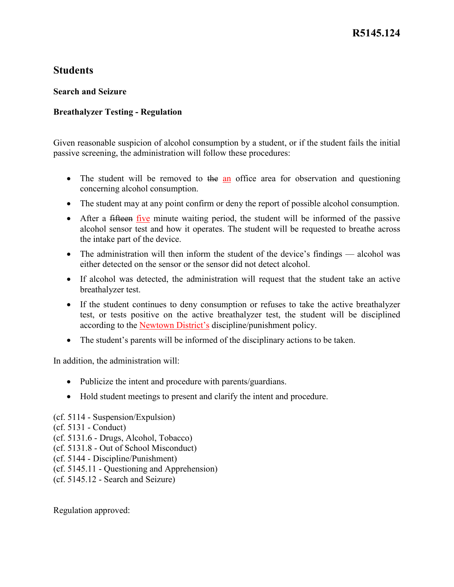# **Search and Seizure**

# **Breathalyzer Testing - Regulation**

Given reasonable suspicion of alcohol consumption by a student, or if the student fails the initial passive screening, the administration will follow these procedures:

- The student will be removed to the an office area for observation and questioning concerning alcohol consumption.
- The student may at any point confirm or deny the report of possible alcohol consumption.
- After a fifteen five minute waiting period, the student will be informed of the passive alcohol sensor test and how it operates. The student will be requested to breathe across the intake part of the device.
- The administration will then inform the student of the device's findings alcohol was either detected on the sensor or the sensor did not detect alcohol.
- If alcohol was detected, the administration will request that the student take an active breathalyzer test.
- If the student continues to deny consumption or refuses to take the active breathalyzer test, or tests positive on the active breathalyzer test, the student will be disciplined according to the Newtown District's discipline/punishment policy.
- The student's parents will be informed of the disciplinary actions to be taken.

In addition, the administration will:

- Publicize the intent and procedure with parents/guardians.
- Hold student meetings to present and clarify the intent and procedure.
- (cf. 5114 Suspension/Expulsion)
- (cf. 5131 Conduct)
- (cf. 5131.6 Drugs, Alcohol, Tobacco)
- (cf. 5131.8 Out of School Misconduct)
- (cf. 5144 Discipline/Punishment)
- (cf. 5145.11 Questioning and Apprehension)
- (cf. 5145.12 Search and Seizure)

Regulation approved: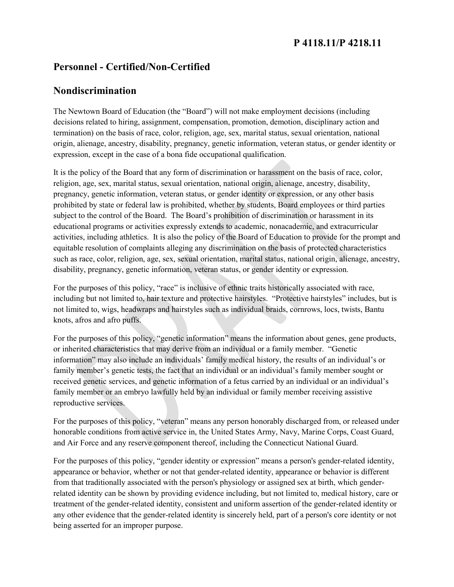# **P 4118.11/P 4218.11**

# **Personnel - Certified/Non-Certified**

# **Nondiscrimination**

The Newtown Board of Education (the "Board") will not make employment decisions (including decisions related to hiring, assignment, compensation, promotion, demotion, disciplinary action and termination) on the basis of race, color, religion, age, sex, marital status, sexual orientation, national origin, alienage, ancestry, disability, pregnancy, genetic information, veteran status, or gender identity or expression, except in the case of a bona fide occupational qualification.

It is the policy of the Board that any form of discrimination or harassment on the basis of race, color, religion, age, sex, marital status, sexual orientation, national origin, alienage, ancestry, disability, pregnancy, genetic information, veteran status, or gender identity or expression, or any other basis prohibited by state or federal law is prohibited, whether by students, Board employees or third parties subject to the control of the Board. The Board's prohibition of discrimination or harassment in its educational programs or activities expressly extends to academic, nonacademic, and extracurricular activities, including athletics. It is also the policy of the Board of Education to provide for the prompt and equitable resolution of complaints alleging any discrimination on the basis of protected characteristics such as race, color, religion, age, sex, sexual orientation, marital status, national origin, alienage, ancestry, disability, pregnancy, genetic information, veteran status, or gender identity or expression.

For the purposes of this policy, "race" is inclusive of ethnic traits historically associated with race, including but not limited to, hair texture and protective hairstyles. "Protective hairstyles" includes, but is not limited to, wigs, headwraps and hairstyles such as individual braids, cornrows, locs, twists, Bantu knots, afros and afro puffs.

For the purposes of this policy, "genetic information" means the information about genes, gene products, or inherited characteristics that may derive from an individual or a family member. "Genetic information" may also include an individuals' family medical history, the results of an individual's or family member's genetic tests, the fact that an individual or an individual's family member sought or received genetic services, and genetic information of a fetus carried by an individual or an individual's family member or an embryo lawfully held by an individual or family member receiving assistive reproductive services.

For the purposes of this policy, "veteran" means any person honorably discharged from, or released under honorable conditions from active service in, the United States Army, Navy, Marine Corps, Coast Guard, and Air Force and any reserve component thereof, including the Connecticut National Guard.

For the purposes of this policy, "gender identity or expression" means a person's gender-related identity, appearance or behavior, whether or not that gender-related identity, appearance or behavior is different from that traditionally associated with the person's physiology or assigned sex at birth, which genderrelated identity can be shown by providing evidence including, but not limited to, medical history, care or treatment of the gender-related identity, consistent and uniform assertion of the gender-related identity or any other evidence that the gender-related identity is sincerely held, part of a person's core identity or not being asserted for an improper purpose.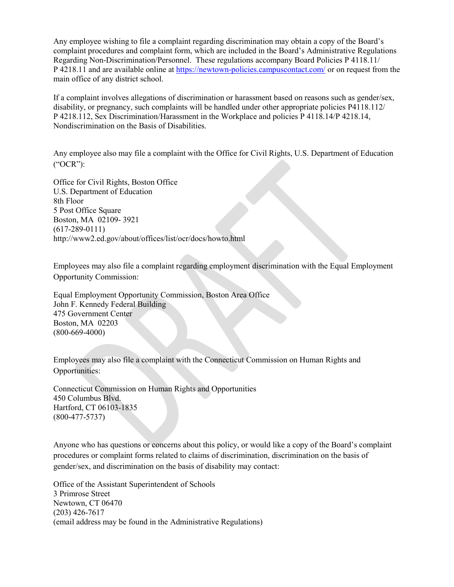Any employee wishing to file a complaint regarding discrimination may obtain a copy of the Board's complaint procedures and complaint form, which are included in the Board's Administrative Regulations Regarding Non-Discrimination/Personnel. These regulations accompany Board Policies P 4118.11/ P 4218.11 and are available online at<https://newtown-policies.campuscontact.com/> or on request from the main office of any district school.

If a complaint involves allegations of discrimination or harassment based on reasons such as gender/sex, disability, or pregnancy, such complaints will be handled under other appropriate policies P4118.112/ P 4218.112, Sex Discrimination/Harassment in the Workplace and policies P 4118.14/P 4218.14, Nondiscrimination on the Basis of Disabilities.

Any employee also may file a complaint with the Office for Civil Rights, U.S. Department of Education ("OCR"):

Office for Civil Rights, Boston Office U.S. Department of Education 8th Floor 5 Post Office Square Boston, MA 02109- 3921 (617-289-0111) http://www2.ed.gov/about/offices/list/ocr/docs/howto.html

Employees may also file a complaint regarding employment discrimination with the Equal Employment Opportunity Commission:

Equal Employment Opportunity Commission, Boston Area Office John F. Kennedy Federal Building 475 Government Center Boston, MA 02203 (800-669-4000)

Employees may also file a complaint with the Connecticut Commission on Human Rights and Opportunities:

Connecticut Commission on Human Rights and Opportunities 450 Columbus Blvd. Hartford, CT 06103-1835 (800-477-5737)

Anyone who has questions or concerns about this policy, or would like a copy of the Board's complaint procedures or complaint forms related to claims of discrimination, discrimination on the basis of gender/sex, and discrimination on the basis of disability may contact:

Office of the Assistant Superintendent of Schools 3 Primrose Street Newtown, CT 06470 (203) 426-7617 (email address may be found in the Administrative Regulations)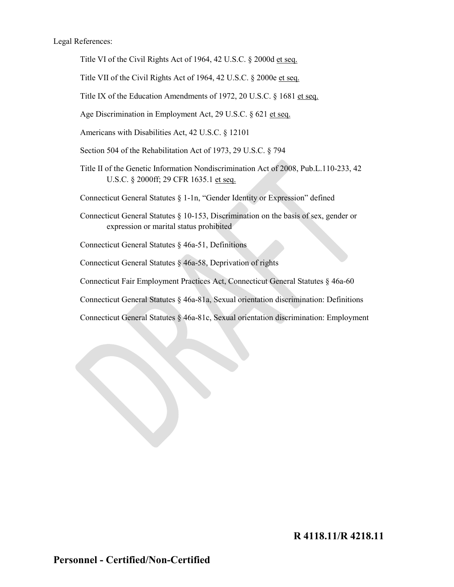Legal References:

Title VI of the Civil Rights Act of 1964, 42 U.S.C. § 2000d et seq.

Title VII of the Civil Rights Act of 1964, 42 U.S.C. § 2000e et seq.

Title IX of the Education Amendments of 1972, 20 U.S.C. § 1681 et seq.

Age Discrimination in Employment Act, 29 U.S.C. § 621 et seq.

Americans with Disabilities Act, 42 U.S.C. § 12101

Section 504 of the Rehabilitation Act of 1973, 29 U.S.C. § 794

Title II of the Genetic Information Nondiscrimination Act of 2008, Pub.L.110-233, 42 U.S.C. § 2000ff; 29 CFR 1635.1 et seq.

Connecticut General Statutes § 1-1n, "Gender Identity or Expression" defined

Connecticut General Statutes § 10-153, Discrimination on the basis of sex, gender or expression or marital status prohibited

Connecticut General Statutes § 46a-51, Definitions

Connecticut General Statutes § 46a-58, Deprivation of rights

Connecticut Fair Employment Practices Act, Connecticut General Statutes § 46a-60

Connecticut General Statutes § 46a-81a, Sexual orientation discrimination: Definitions

Connecticut General Statutes § 46a-81c, Sexual orientation discrimination: Employment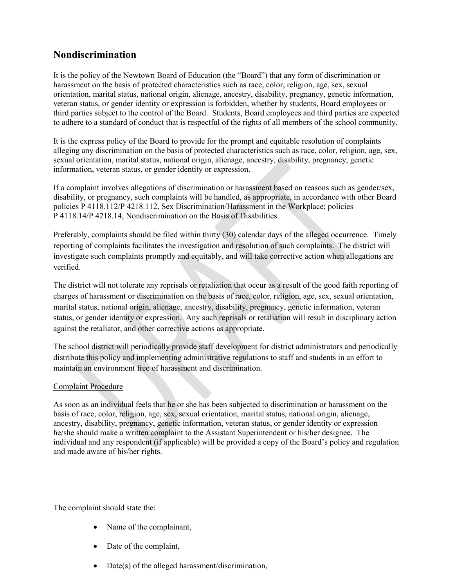# **Nondiscrimination**

It is the policy of the Newtown Board of Education (the "Board") that any form of discrimination or harassment on the basis of protected characteristics such as race, color, religion, age, sex, sexual orientation, marital status, national origin, alienage, ancestry, disability, pregnancy, genetic information, veteran status, or gender identity or expression is forbidden, whether by students, Board employees or third parties subject to the control of the Board. Students, Board employees and third parties are expected to adhere to a standard of conduct that is respectful of the rights of all members of the school community.

It is the express policy of the Board to provide for the prompt and equitable resolution of complaints alleging any discrimination on the basis of protected characteristics such as race, color, religion, age, sex, sexual orientation, marital status, national origin, alienage, ancestry, disability, pregnancy, genetic information, veteran status, or gender identity or expression.

If a complaint involves allegations of discrimination or harassment based on reasons such as gender/sex, disability, or pregnancy, such complaints will be handled, as appropriate, in accordance with other Board policies P 4118.112/P 4218.112, Sex Discrimination/Harassment in the Workplace; policies P 4118.14/P 4218.14, Nondiscrimination on the Basis of Disabilities.

Preferably, complaints should be filed within thirty (30) calendar days of the alleged occurrence. Timely reporting of complaints facilitates the investigation and resolution of such complaints. The district will investigate such complaints promptly and equitably, and will take corrective action when allegations are verified.

The district will not tolerate any reprisals or retaliation that occur as a result of the good faith reporting of charges of harassment or discrimination on the basis of race, color, religion, age, sex, sexual orientation, marital status, national origin, alienage, ancestry, disability, pregnancy, genetic information, veteran status, or gender identity or expression. Any such reprisals or retaliation will result in disciplinary action against the retaliator, and other corrective actions as appropriate.

The school district will periodically provide staff development for district administrators and periodically distribute this policy and implementing administrative regulations to staff and students in an effort to maintain an environment free of harassment and discrimination.

#### Complaint Procedure

As soon as an individual feels that he or she has been subjected to discrimination or harassment on the basis of race, color, religion, age, sex, sexual orientation, marital status, national origin, alienage, ancestry, disability, pregnancy, genetic information, veteran status, or gender identity or expression he/she should make a written complaint to the Assistant Superintendent or his/her designee. The individual and any respondent (if applicable) will be provided a copy of the Board's policy and regulation and made aware of his/her rights.

The complaint should state the:

- Name of the complainant,
- Date of the complaint,
- Date(s) of the alleged harassment/discrimination,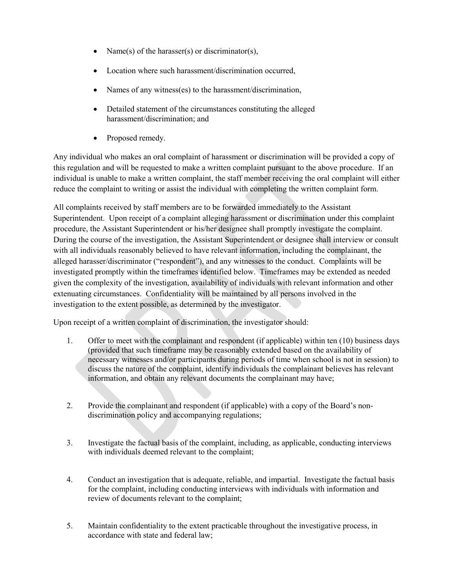- Name(s) of the harasser(s) or discriminator(s),
- Location where such harassment/discrimination occurred,
- Names of any witness(es) to the harassment/discrimination,
- Detailed statement of the circumstances constituting the alleged harassment/discrimination; and
- Proposed remedy.

Any individual who makes an oral complaint of harassment or discrimination will be provided a copy of this regulation and will be requested to make a written complaint pursuant to the above procedure. If an individual is unable to make a written complaint, the staff member receiving the oral complaint will either reduce the complaint to writing or assist the individual with completing the written complaint form.

All complaints received by staff members are to be forwarded immediately to the Assistant Superintendent. Upon receipt of a complaint alleging harassment or discrimination under this complaint procedure, the Assistant Superintendent or his/her designee shall promptly investigate the complaint. During the course of the investigation, the Assistant Superintendent or designee shall interview or consult with all individuals reasonably believed to have relevant information, including the complainant, the alleged harasser/discriminator ("respondent"), and any witnesses to the conduct. Complaints will be investigated promptly within the timeframes identified below. Timeframes may be extended as needed given the complexity of the investigation, availability of individuals with relevant information and other extenuating circumstances. Confidentiality will be maintained by all persons involved in the investigation to the extent possible, as determined by the investigator.

Upon receipt of a written complaint of discrimination, the investigator should:

- 1. Offer to meet with the complainant and respondent (if applicable) within ten (10) business days (provided that such timeframe may be reasonably extended based on the availability of necessary witnesses and/or participants during periods of time when school is not in session) to discuss the nature of the complaint, identify individuals the complainant believes has relevant information, and obtain any relevant documents the complainant may have;
- 2. Provide the complainant and respondent (if applicable) with a copy of the Board's nondiscrimination policy and accompanying regulations;
- 3. Investigate the factual basis of the complaint, including, as applicable, conducting interviews with individuals deemed relevant to the complaint;
- 4. Conduct an investigation that is adequate, reliable, and impartial. Investigate the factual basis for the complaint, including conducting interviews with individuals with information and review of documents relevant to the complaint;
- 5. Maintain confidentiality to the extent practicable throughout the investigative process, in accordance with state and federal law;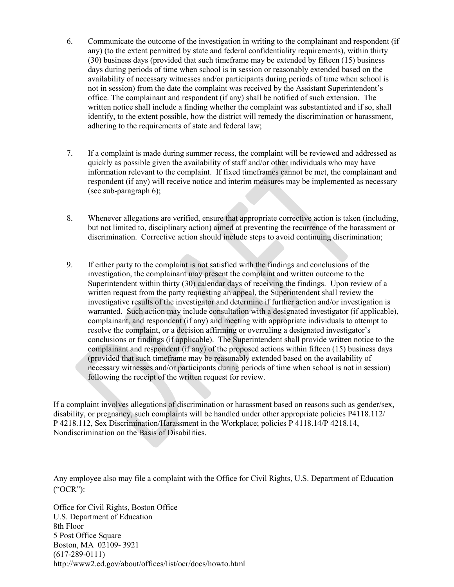- 6. Communicate the outcome of the investigation in writing to the complainant and respondent (if any) (to the extent permitted by state and federal confidentiality requirements), within thirty (30) business days (provided that such timeframe may be extended by fifteen (15) business days during periods of time when school is in session or reasonably extended based on the availability of necessary witnesses and/or participants during periods of time when school is not in session) from the date the complaint was received by the Assistant Superintendent's office. The complainant and respondent (if any) shall be notified of such extension. The written notice shall include a finding whether the complaint was substantiated and if so, shall identify, to the extent possible, how the district will remedy the discrimination or harassment, adhering to the requirements of state and federal law;
- 7. If a complaint is made during summer recess, the complaint will be reviewed and addressed as quickly as possible given the availability of staff and/or other individuals who may have information relevant to the complaint. If fixed timeframes cannot be met, the complainant and respondent (if any) will receive notice and interim measures may be implemented as necessary (see sub-paragraph 6);
- 8. Whenever allegations are verified, ensure that appropriate corrective action is taken (including, but not limited to, disciplinary action) aimed at preventing the recurrence of the harassment or discrimination. Corrective action should include steps to avoid continuing discrimination;
- 9. If either party to the complaint is not satisfied with the findings and conclusions of the investigation, the complainant may present the complaint and written outcome to the Superintendent within thirty (30) calendar days of receiving the findings. Upon review of a written request from the party requesting an appeal, the Superintendent shall review the investigative results of the investigator and determine if further action and/or investigation is warranted. Such action may include consultation with a designated investigator (if applicable), complainant, and respondent (if any) and meeting with appropriate individuals to attempt to resolve the complaint, or a decision affirming or overruling a designated investigator's conclusions or findings (if applicable). The Superintendent shall provide written notice to the complainant and respondent (if any) of the proposed actions within fifteen (15) business days (provided that such timeframe may be reasonably extended based on the availability of necessary witnesses and/or participants during periods of time when school is not in session) following the receipt of the written request for review.

If a complaint involves allegations of discrimination or harassment based on reasons such as gender/sex, disability, or pregnancy, such complaints will be handled under other appropriate policies P4118.112/ P 4218.112, Sex Discrimination/Harassment in the Workplace; policies P 4118.14/P 4218.14, Nondiscrimination on the Basis of Disabilities.

Any employee also may file a complaint with the Office for Civil Rights, U.S. Department of Education ("OCR"):

Office for Civil Rights, Boston Office U.S. Department of Education 8th Floor 5 Post Office Square Boston, MA 02109- 3921 (617-289-0111) http://www2.ed.gov/about/offices/list/ocr/docs/howto.html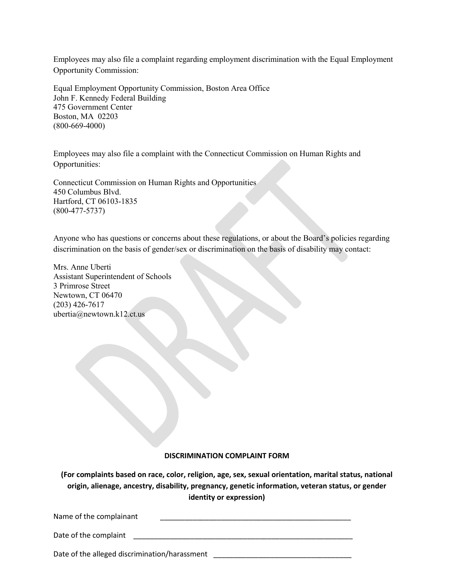Employees may also file a complaint regarding employment discrimination with the Equal Employment Opportunity Commission:

Equal Employment Opportunity Commission, Boston Area Office John F. Kennedy Federal Building 475 Government Center Boston, MA 02203 (800-669-4000)

Employees may also file a complaint with the Connecticut Commission on Human Rights and Opportunities:

Connecticut Commission on Human Rights and Opportunities 450 Columbus Blvd. Hartford, CT 06103-1835 (800-477-5737)

Anyone who has questions or concerns about these regulations, or about the Board's policies regarding discrimination on the basis of gender/sex or discrimination on the basis of disability may contact:

Mrs. Anne Uberti Assistant Superintendent of Schools 3 Primrose Street Newtown, CT 06470 (203) 426-7617 ubertia@newtown.k12.ct.us

#### **DISCRIMINATION COMPLAINT FORM**

**(For complaints based on race, color, religion, age, sex, sexual orientation, marital status, national origin, alienage, ancestry, disability, pregnancy, genetic information, veteran status, or gender identity or expression)**

| Name of the complainant |  |  |
|-------------------------|--|--|
|                         |  |  |
| Date of the complaint   |  |  |

Date of the alleged discrimination/harassment \_\_\_\_\_\_\_\_\_\_\_\_\_\_\_\_\_\_\_\_\_\_\_\_\_\_\_\_\_\_\_\_\_\_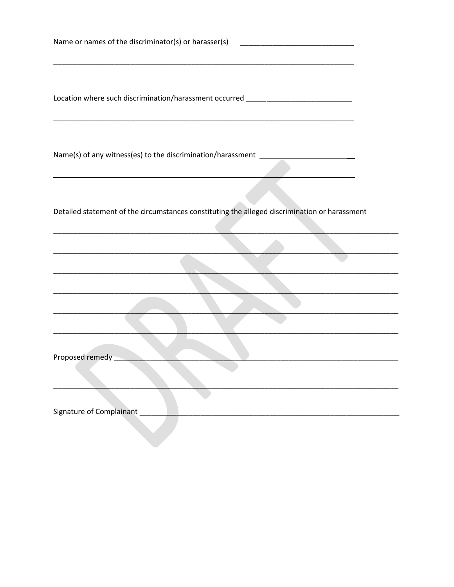| Name or names of the discriminator(s) or harasser(s) ___________________________                                                                |  |
|-------------------------------------------------------------------------------------------------------------------------------------------------|--|
| Location where such discrimination/harassment occurred _________________________                                                                |  |
| Name(s) of any witness(es) to the discrimination/harassment ____________________<br><u> 1989 - Johann Stoff, amerikansk politiker (d. 1989)</u> |  |
| Detailed statement of the circumstances constituting the alleged discrimination or harassment                                                   |  |
|                                                                                                                                                 |  |
|                                                                                                                                                 |  |
|                                                                                                                                                 |  |
| Proposed remedy                                                                                                                                 |  |
| Signature of Complainant                                                                                                                        |  |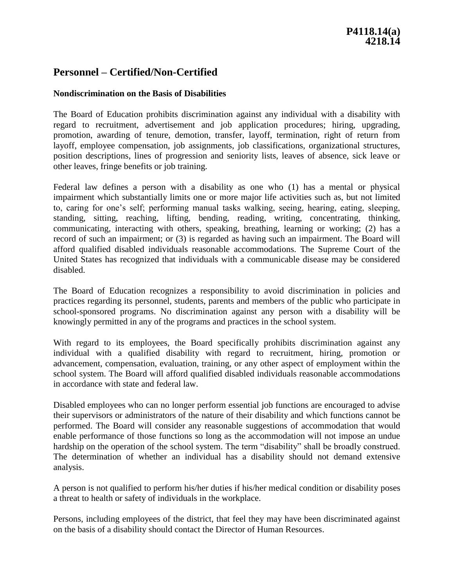# **Personnel – Certified/Non-Certified**

### **Nondiscrimination on the Basis of Disabilities**

The Board of Education prohibits discrimination against any individual with a disability with regard to recruitment, advertisement and job application procedures; hiring, upgrading, promotion, awarding of tenure, demotion, transfer, layoff, termination, right of return from layoff, employee compensation, job assignments, job classifications, organizational structures, position descriptions, lines of progression and seniority lists, leaves of absence, sick leave or other leaves, fringe benefits or job training.

Federal law defines a person with a disability as one who (1) has a mental or physical impairment which substantially limits one or more major life activities such as, but not limited to, caring for one's self; performing manual tasks walking, seeing, hearing, eating, sleeping, standing, sitting, reaching, lifting, bending, reading, writing, concentrating, thinking, communicating, interacting with others, speaking, breathing, learning or working; (2) has a record of such an impairment; or (3) is regarded as having such an impairment. The Board will afford qualified disabled individuals reasonable accommodations. The Supreme Court of the United States has recognized that individuals with a communicable disease may be considered disabled.

The Board of Education recognizes a responsibility to avoid discrimination in policies and practices regarding its personnel, students, parents and members of the public who participate in school-sponsored programs. No discrimination against any person with a disability will be knowingly permitted in any of the programs and practices in the school system.

With regard to its employees, the Board specifically prohibits discrimination against any individual with a qualified disability with regard to recruitment, hiring, promotion or advancement, compensation, evaluation, training, or any other aspect of employment within the school system. The Board will afford qualified disabled individuals reasonable accommodations in accordance with state and federal law.

Disabled employees who can no longer perform essential job functions are encouraged to advise their supervisors or administrators of the nature of their disability and which functions cannot be performed. The Board will consider any reasonable suggestions of accommodation that would enable performance of those functions so long as the accommodation will not impose an undue hardship on the operation of the school system. The term "disability" shall be broadly construed. The determination of whether an individual has a disability should not demand extensive analysis.

A person is not qualified to perform his/her duties if his/her medical condition or disability poses a threat to health or safety of individuals in the workplace.

Persons, including employees of the district, that feel they may have been discriminated against on the basis of a disability should contact the Director of Human Resources.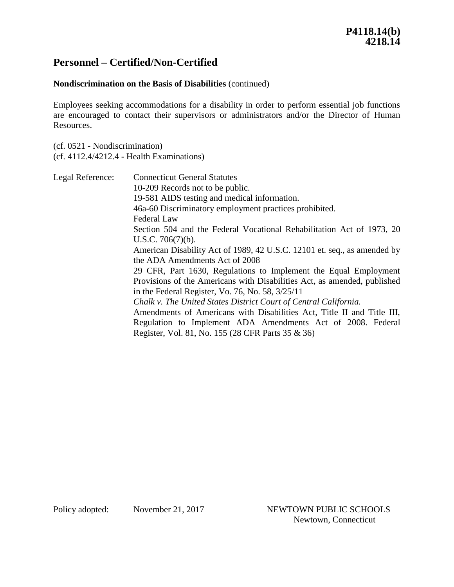# **Personnel – Certified/Non-Certified**

# **Nondiscrimination on the Basis of Disabilities** (continued)

Employees seeking accommodations for a disability in order to perform essential job functions are encouraged to contact their supervisors or administrators and/or the Director of Human Resources.

(cf. 0521 - Nondiscrimination) (cf. 4112.4/4212.4 - Health Examinations)

| Legal Reference: | <b>Connecticut General Statutes</b>                                      |
|------------------|--------------------------------------------------------------------------|
|                  | 10-209 Records not to be public.                                         |
|                  | 19-581 AIDS testing and medical information.                             |
|                  | 46a-60 Discriminatory employment practices prohibited.                   |
|                  | Federal Law                                                              |
|                  | Section 504 and the Federal Vocational Rehabilitation Act of 1973, 20    |
|                  | U.S.C. $706(7)(b)$ .                                                     |
|                  | American Disability Act of 1989, 42 U.S.C. 12101 et. seq., as amended by |
|                  | the ADA Amendments Act of 2008                                           |
|                  | 29 CFR, Part 1630, Regulations to Implement the Equal Employment         |
|                  | Provisions of the Americans with Disabilities Act, as amended, published |
|                  | in the Federal Register, Vo. 76, No. 58, $3/25/11$                       |
|                  | Chalk v. The United States District Court of Central California.         |
|                  | Amendments of Americans with Disabilities Act, Title II and Title III,   |
|                  | Regulation to Implement ADA Amendments Act of 2008. Federal              |
|                  | Register, Vol. 81, No. 155 (28 CFR Parts 35 & 36)                        |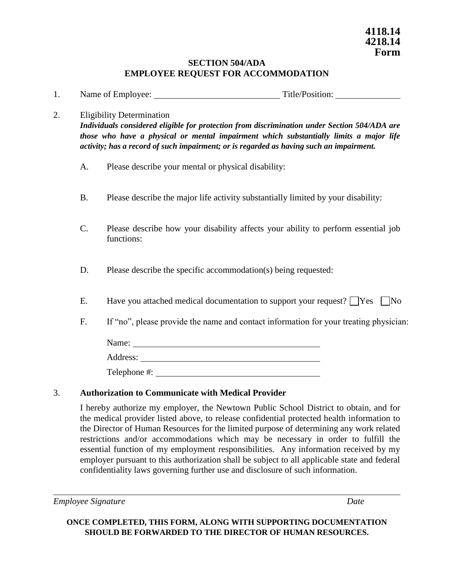### **SECTION 504/ADA EMPLOYEE REQUEST FOR ACCOMMODATION**

1. Name of Employee: Title/Position:

#### 2. Eligibility Determination

*Individuals considered eligible for protection from discrimination under Section 504/ADA are those who have a physical or mental impairment which substantially limits a major life activity; has a record of such impairment; or is regarded as having such an impairment.*

- A. Please describe your mental or physical disability:
- B. Please describe the major life activity substantially limited by your disability:
- C. Please describe how your disability affects your ability to perform essential job functions:
- D. Please describe the specific accommodation(s) being requested:
- E. Have you attached medical documentation to support your request?  $\Box$  Yes  $\Box$  No
- F. If "no", please provide the name and contact information for your treating physician:

Name:

Address:

Telephone #:

### 3. **Authorization to Communicate with Medical Provider**

I hereby authorize my employer, the Newtown Public School District to obtain, and for the medical provider listed above, to release confidential protected health information to the Director of Human Resources for the limited purpose of determining any work related restrictions and/or accommodations which may be necessary in order to fulfill the essential function of my employment responsibilities. Any information received by my employer pursuant to this authorization shall be subject to all applicable state and federal confidentiality laws governing further use and disclosure of such information.

*Employee Signature Date*

# **ONCE COMPLETED, THIS FORM, ALONG WITH SUPPORTING DOCUMENTATION SHOULD BE FORWARDED TO THE DIRECTOR OF HUMAN RESOURCES.**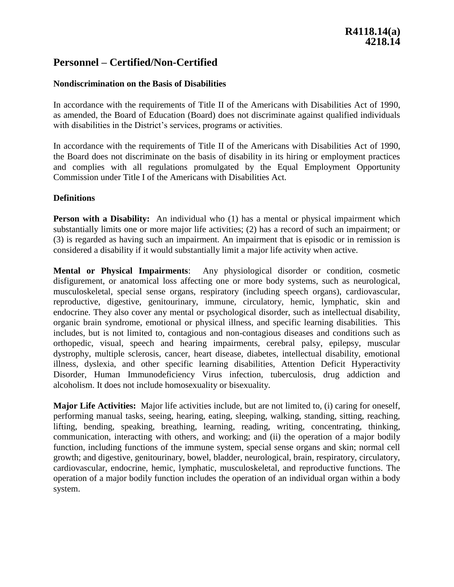# **Personnel – Certified/Non-Certified**

### **Nondiscrimination on the Basis of Disabilities**

In accordance with the requirements of Title II of the Americans with Disabilities Act of 1990, as amended, the Board of Education (Board) does not discriminate against qualified individuals with disabilities in the District's services, programs or activities.

In accordance with the requirements of Title II of the Americans with Disabilities Act of 1990, the Board does not discriminate on the basis of disability in its hiring or employment practices and complies with all regulations promulgated by the Equal Employment Opportunity Commission under Title I of the Americans with Disabilities Act.

### **Definitions**

**Person with a Disability:** An individual who (1) has a mental or physical impairment which substantially limits one or more major life activities; (2) has a record of such an impairment; or (3) is regarded as having such an impairment. An impairment that is episodic or in remission is considered a disability if it would substantially limit a major life activity when active.

**Mental or Physical Impairments**: Any physiological disorder or condition, cosmetic disfigurement, or anatomical loss affecting one or more body systems, such as neurological, musculoskeletal, special sense organs, respiratory (including speech organs), cardiovascular, reproductive, digestive, genitourinary, immune, circulatory, hemic, lymphatic, skin and endocrine. They also cover any mental or psychological disorder, such as intellectual disability, organic brain syndrome, emotional or physical illness, and specific learning disabilities. This includes, but is not limited to, contagious and non-contagious diseases and conditions such as orthopedic, visual, speech and hearing impairments, cerebral palsy, epilepsy, muscular dystrophy, multiple sclerosis, cancer, heart disease, diabetes, intellectual disability, emotional illness, dyslexia, and other specific learning disabilities, Attention Deficit Hyperactivity Disorder, Human Immunodeficiency Virus infection, tuberculosis, drug addiction and alcoholism. It does not include homosexuality or bisexuality.

**Major Life Activities:** Major life activities include, but are not limited to, (i) caring for oneself, performing manual tasks, seeing, hearing, eating, sleeping, walking, standing, sitting, reaching, lifting, bending, speaking, breathing, learning, reading, writing, concentrating, thinking, communication, interacting with others, and working; and (ii) the operation of a major bodily function, including functions of the immune system, special sense organs and skin; normal cell growth; and digestive, genitourinary, bowel, bladder, neurological, brain, respiratory, circulatory, cardiovascular, endocrine, hemic, lymphatic, musculoskeletal, and reproductive functions. The operation of a major bodily function includes the operation of an individual organ within a body system.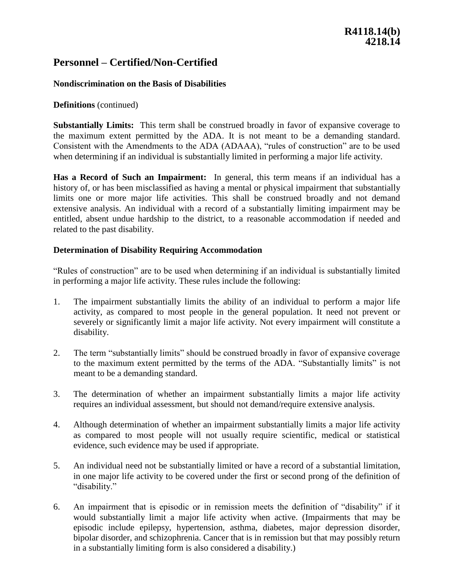# **R4118.14(b) 4218.14**

# **Personnel – Certified/Non-Certified**

### **Nondiscrimination on the Basis of Disabilities**

### **Definitions** (continued)

**Substantially Limits:** This term shall be construed broadly in favor of expansive coverage to the maximum extent permitted by the ADA. It is not meant to be a demanding standard. Consistent with the Amendments to the ADA (ADAAA), "rules of construction" are to be used when determining if an individual is substantially limited in performing a major life activity.

**Has a Record of Such an Impairment:** In general, this term means if an individual has a history of, or has been misclassified as having a mental or physical impairment that substantially limits one or more major life activities. This shall be construed broadly and not demand extensive analysis. An individual with a record of a substantially limiting impairment may be entitled, absent undue hardship to the district, to a reasonable accommodation if needed and related to the past disability.

### **Determination of Disability Requiring Accommodation**

"Rules of construction" are to be used when determining if an individual is substantially limited in performing a major life activity. These rules include the following:

- 1. The impairment substantially limits the ability of an individual to perform a major life activity, as compared to most people in the general population. It need not prevent or severely or significantly limit a major life activity. Not every impairment will constitute a disability.
- 2. The term "substantially limits" should be construed broadly in favor of expansive coverage to the maximum extent permitted by the terms of the ADA. "Substantially limits" is not meant to be a demanding standard.
- 3. The determination of whether an impairment substantially limits a major life activity requires an individual assessment, but should not demand/require extensive analysis.
- 4. Although determination of whether an impairment substantially limits a major life activity as compared to most people will not usually require scientific, medical or statistical evidence, such evidence may be used if appropriate.
- 5. An individual need not be substantially limited or have a record of a substantial limitation, in one major life activity to be covered under the first or second prong of the definition of "disability."
- 6. An impairment that is episodic or in remission meets the definition of "disability" if it would substantially limit a major life activity when active. (Impairments that may be episodic include epilepsy, hypertension, asthma, diabetes, major depression disorder, bipolar disorder, and schizophrenia. Cancer that is in remission but that may possibly return in a substantially limiting form is also considered a disability.)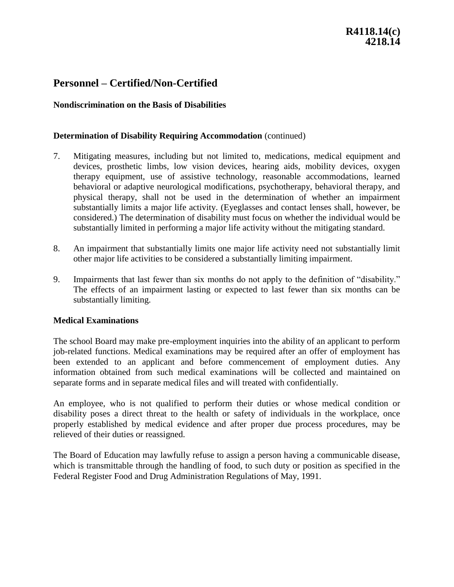# **Personnel – Certified/Non-Certified**

### **Nondiscrimination on the Basis of Disabilities**

### **Determination of Disability Requiring Accommodation** (continued)

- 7. Mitigating measures, including but not limited to, medications, medical equipment and devices, prosthetic limbs, low vision devices, hearing aids, mobility devices, oxygen therapy equipment, use of assistive technology, reasonable accommodations, learned behavioral or adaptive neurological modifications, psychotherapy, behavioral therapy, and physical therapy, shall not be used in the determination of whether an impairment substantially limits a major life activity. (Eyeglasses and contact lenses shall, however, be considered.) The determination of disability must focus on whether the individual would be substantially limited in performing a major life activity without the mitigating standard.
- 8. An impairment that substantially limits one major life activity need not substantially limit other major life activities to be considered a substantially limiting impairment.
- 9. Impairments that last fewer than six months do not apply to the definition of "disability." The effects of an impairment lasting or expected to last fewer than six months can be substantially limiting.

#### **Medical Examinations**

The school Board may make pre-employment inquiries into the ability of an applicant to perform job-related functions. Medical examinations may be required after an offer of employment has been extended to an applicant and before commencement of employment duties. Any information obtained from such medical examinations will be collected and maintained on separate forms and in separate medical files and will treated with confidentially.

An employee, who is not qualified to perform their duties or whose medical condition or disability poses a direct threat to the health or safety of individuals in the workplace, once properly established by medical evidence and after proper due process procedures, may be relieved of their duties or reassigned.

The Board of Education may lawfully refuse to assign a person having a communicable disease, which is transmittable through the handling of food, to such duty or position as specified in the Federal Register Food and Drug Administration Regulations of May, 1991.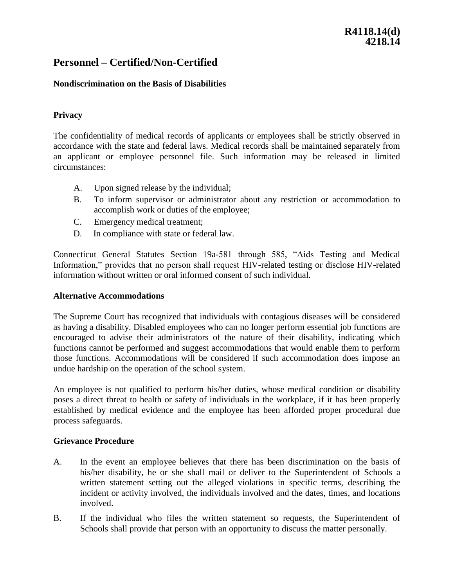# **R4118.14(d) 4218.14**

# **Personnel – Certified/Non-Certified**

### **Nondiscrimination on the Basis of Disabilities**

### **Privacy**

The confidentiality of medical records of applicants or employees shall be strictly observed in accordance with the state and federal laws. Medical records shall be maintained separately from an applicant or employee personnel file. Such information may be released in limited circumstances:

- A. Upon signed release by the individual;
- B. To inform supervisor or administrator about any restriction or accommodation to accomplish work or duties of the employee;
- C. Emergency medical treatment;
- D. In compliance with state or federal law.

Connecticut General Statutes Section 19a-581 through 585, "Aids Testing and Medical Information," provides that no person shall request HIV-related testing or disclose HIV-related information without written or oral informed consent of such individual.

#### **Alternative Accommodations**

The Supreme Court has recognized that individuals with contagious diseases will be considered as having a disability. Disabled employees who can no longer perform essential job functions are encouraged to advise their administrators of the nature of their disability, indicating which functions cannot be performed and suggest accommodations that would enable them to perform those functions. Accommodations will be considered if such accommodation does impose an undue hardship on the operation of the school system.

An employee is not qualified to perform his/her duties, whose medical condition or disability poses a direct threat to health or safety of individuals in the workplace, if it has been properly established by medical evidence and the employee has been afforded proper procedural due process safeguards.

#### **Grievance Procedure**

- A. In the event an employee believes that there has been discrimination on the basis of his/her disability, he or she shall mail or deliver to the Superintendent of Schools a written statement setting out the alleged violations in specific terms, describing the incident or activity involved, the individuals involved and the dates, times, and locations involved.
- B. If the individual who files the written statement so requests, the Superintendent of Schools shall provide that person with an opportunity to discuss the matter personally.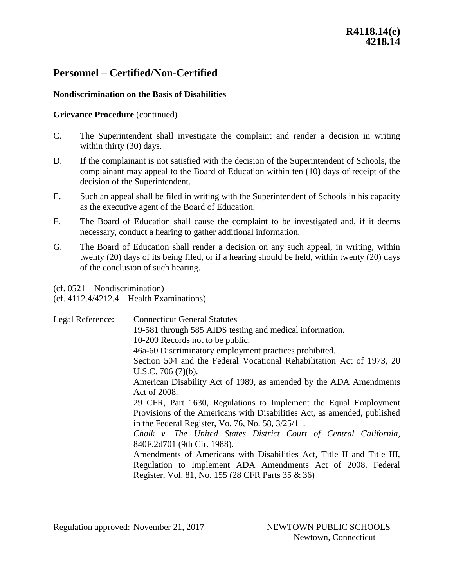# **Personnel – Certified/Non-Certified**

### **Nondiscrimination on the Basis of Disabilities**

#### **Grievance Procedure** (continued)

- C. The Superintendent shall investigate the complaint and render a decision in writing within thirty (30) days.
- D. If the complainant is not satisfied with the decision of the Superintendent of Schools, the complainant may appeal to the Board of Education within ten (10) days of receipt of the decision of the Superintendent.
- E. Such an appeal shall be filed in writing with the Superintendent of Schools in his capacity as the executive agent of the Board of Education.
- F. The Board of Education shall cause the complaint to be investigated and, if it deems necessary, conduct a hearing to gather additional information.
- G. The Board of Education shall render a decision on any such appeal, in writing, within twenty (20) days of its being filed, or if a hearing should be held, within twenty (20) days of the conclusion of such hearing.

(cf. 0521 – Nondiscrimination)

(cf. 4112.4/4212.4 – Health Examinations)

| Legal Reference:                                                       | <b>Connecticut General Statutes</b>                                      |
|------------------------------------------------------------------------|--------------------------------------------------------------------------|
|                                                                        | 19-581 through 585 AIDS testing and medical information.                 |
|                                                                        | 10-209 Records not to be public.                                         |
|                                                                        | 46a-60 Discriminatory employment practices prohibited.                   |
|                                                                        | Section 504 and the Federal Vocational Rehabilitation Act of 1973, 20    |
|                                                                        | U.S.C. 706 $(7)(b)$ .                                                    |
|                                                                        | American Disability Act of 1989, as amended by the ADA Amendments        |
|                                                                        | Act of 2008.                                                             |
|                                                                        | 29 CFR, Part 1630, Regulations to Implement the Equal Employment         |
|                                                                        | Provisions of the Americans with Disabilities Act, as amended, published |
|                                                                        | in the Federal Register, Vo. 76, No. 58, $3/25/11$ .                     |
|                                                                        | Chalk v. The United States District Court of Central California,         |
|                                                                        | 840F.2d701 (9th Cir. 1988).                                              |
| Amendments of Americans with Disabilities Act, Title II and Title III, |                                                                          |
|                                                                        | Regulation to Implement ADA Amendments Act of 2008. Federal              |
|                                                                        | Register, Vol. 81, No. 155 (28 CFR Parts 35 & 36)                        |
|                                                                        |                                                                          |

Regulation approved: November 21, 2017 NEWTOWN PUBLIC SCHOOLS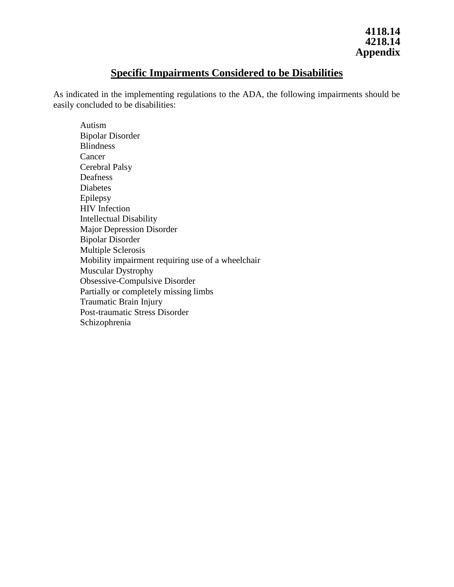# **Specific Impairments Considered to be Disabilities**

As indicated in the implementing regulations to the ADA, the following impairments should be easily concluded to be disabilities:

Autism Bipolar Disorder Blindness Cancer Cerebral Palsy Deafness Diabetes Epilepsy HIV Infection Intellectual Disability Major Depression Disorder Bipolar Disorder Multiple Sclerosis Mobility impairment requiring use of a wheelchair Muscular Dystrophy Obsessive-Compulsive Disorder Partially or completely missing limbs Traumatic Brain Injury Post-traumatic Stress Disorder Schizophrenia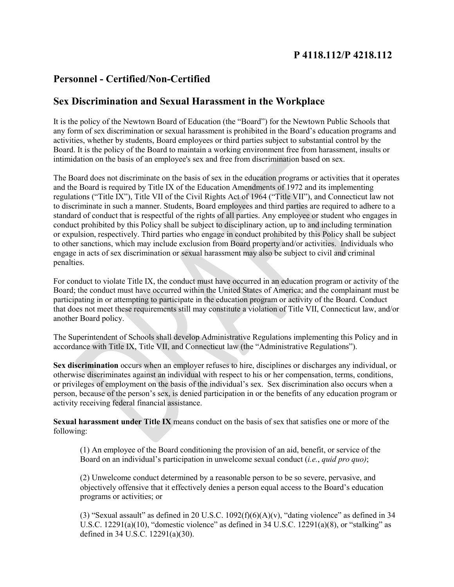# **P 4118.112/P 4218.112**

# **Personnel - Certified/Non-Certified**

# **Sex Discrimination and Sexual Harassment in the Workplace**

It is the policy of the Newtown Board of Education (the "Board") for the Newtown Public Schools that any form of sex discrimination or sexual harassment is prohibited in the Board's education programs and activities, whether by students, Board employees or third parties subject to substantial control by the Board. It is the policy of the Board to maintain a working environment free from harassment, insults or intimidation on the basis of an employee's sex and free from discrimination based on sex.

The Board does not discriminate on the basis of sex in the education programs or activities that it operates and the Board is required by Title IX of the Education Amendments of 1972 and its implementing regulations ("Title IX"), Title VII of the Civil Rights Act of 1964 ("Title VII"), and Connecticut law not to discriminate in such a manner. Students, Board employees and third parties are required to adhere to a standard of conduct that is respectful of the rights of all parties. Any employee or student who engages in conduct prohibited by this Policy shall be subject to disciplinary action, up to and including termination or expulsion, respectively. Third parties who engage in conduct prohibited by this Policy shall be subject to other sanctions, which may include exclusion from Board property and/or activities. Individuals who engage in acts of sex discrimination or sexual harassment may also be subject to civil and criminal penalties.

For conduct to violate Title IX, the conduct must have occurred in an education program or activity of the Board; the conduct must have occurred within the United States of America; and the complainant must be participating in or attempting to participate in the education program or activity of the Board. Conduct that does not meet these requirements still may constitute a violation of Title VII, Connecticut law, and/or another Board policy.

The Superintendent of Schools shall develop Administrative Regulations implementing this Policy and in accordance with Title IX, Title VII, and Connecticut law (the "Administrative Regulations").

**Sex discrimination** occurs when an employer refuses to hire, disciplines or discharges any individual, or otherwise discriminates against an individual with respect to his or her compensation, terms, conditions, or privileges of employment on the basis of the individual's sex. Sex discrimination also occurs when a person, because of the person's sex, is denied participation in or the benefits of any education program or activity receiving federal financial assistance.

**Sexual harassment under Title IX** means conduct on the basis of sex that satisfies one or more of the following:

(1) An employee of the Board conditioning the provision of an aid, benefit, or service of the Board on an individual's participation in unwelcome sexual conduct (*i.e.*, *quid pro quo)*;

(2) Unwelcome conduct determined by a reasonable person to be so severe, pervasive, and objectively offensive that it effectively denies a person equal access to the Board's education programs or activities; or

(3) "Sexual assault" as defined in 20 U.S.C.  $1092(f)(6)(A)(v)$ , "dating violence" as defined in 34 U.S.C.  $12291(a)(10)$ , "domestic violence" as defined in 34 U.S.C.  $12291(a)(8)$ , or "stalking" as defined in 34 U.S.C. 12291(a)(30).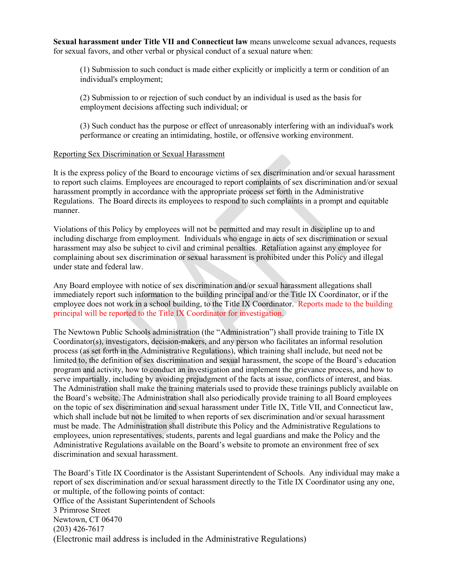**Sexual harassment under Title VII and Connecticut law** means unwelcome sexual advances, requests for sexual favors, and other verbal or physical conduct of a sexual nature when:

(1) Submission to such conduct is made either explicitly or implicitly a term or condition of an individual's employment;

(2) Submission to or rejection of such conduct by an individual is used as the basis for employment decisions affecting such individual; or

(3) Such conduct has the purpose or effect of unreasonably interfering with an individual's work performance or creating an intimidating, hostile, or offensive working environment.

#### Reporting Sex Discrimination or Sexual Harassment

It is the express policy of the Board to encourage victims of sex discrimination and/or sexual harassment to report such claims. Employees are encouraged to report complaints of sex discrimination and/or sexual harassment promptly in accordance with the appropriate process set forth in the Administrative Regulations. The Board directs its employees to respond to such complaints in a prompt and equitable manner.

Violations of this Policy by employees will not be permitted and may result in discipline up to and including discharge from employment. Individuals who engage in acts of sex discrimination or sexual harassment may also be subject to civil and criminal penalties. Retaliation against any employee for complaining about sex discrimination or sexual harassment is prohibited under this Policy and illegal under state and federal law.

Any Board employee with notice of sex discrimination and/or sexual harassment allegations shall immediately report such information to the building principal and/or the Title IX Coordinator, or if the employee does not work in a school building, to the Title IX Coordinator. Reports made to the building principal will be reported to the Title IX Coordinator for investigation.

The Newtown Public Schools administration (the "Administration") shall provide training to Title IX Coordinator(s), investigators, decision-makers, and any person who facilitates an informal resolution process (as set forth in the Administrative Regulations), which training shall include, but need not be limited to, the definition of sex discrimination and sexual harassment, the scope of the Board's education program and activity, how to conduct an investigation and implement the grievance process, and how to serve impartially, including by avoiding prejudgment of the facts at issue, conflicts of interest, and bias. The Administration shall make the training materials used to provide these trainings publicly available on the Board's website. The Administration shall also periodically provide training to all Board employees on the topic of sex discrimination and sexual harassment under Title IX, Title VII, and Connecticut law, which shall include but not be limited to when reports of sex discrimination and/or sexual harassment must be made. The Administration shall distribute this Policy and the Administrative Regulations to employees, union representatives, students, parents and legal guardians and make the Policy and the Administrative Regulations available on the Board's website to promote an environment free of sex discrimination and sexual harassment.

The Board's Title IX Coordinator is the Assistant Superintendent of Schools. Any individual may make a report of sex discrimination and/or sexual harassment directly to the Title IX Coordinator using any one, or multiple, of the following points of contact: Office of the Assistant Superintendent of Schools 3 Primrose Street Newtown, CT 06470 (203) 426-7617 (Electronic mail address is included in the Administrative Regulations)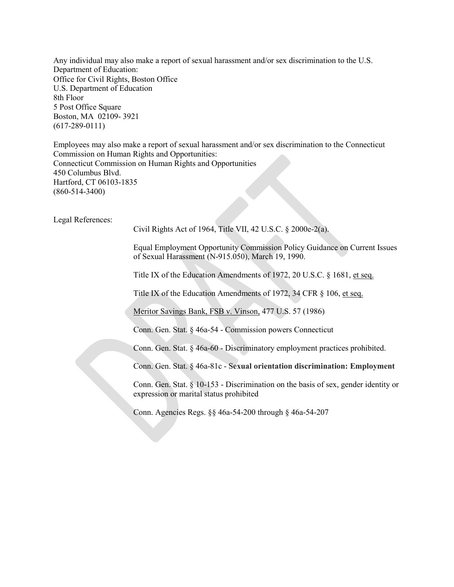Any individual may also make a report of sexual harassment and/or sex discrimination to the U.S. Department of Education: Office for Civil Rights, Boston Office U.S. Department of Education 8th Floor 5 Post Office Square Boston, MA 02109- 3921 (617-289-0111)

Employees may also make a report of sexual harassment and/or sex discrimination to the Connecticut Commission on Human Rights and Opportunities: Connecticut Commission on Human Rights and Opportunities 450 Columbus Blvd. Hartford, CT 06103-1835 (860-514-3400)

Legal References:

Civil Rights Act of 1964, Title VII, 42 U.S.C. § 2000e-2(a).

Equal Employment Opportunity Commission Policy Guidance on Current Issues of Sexual Harassment (N-915.050), March 19, 1990.

Title IX of the Education Amendments of 1972, 20 U.S.C. § 1681, et seq.

Title IX of the Education Amendments of 1972, 34 CFR § 106, et seq.

Meritor Savings Bank, FSB v. Vinson, 477 U.S. 57 (1986)

Conn. Gen. Stat. § 46a-54 - Commission powers Connecticut

Conn. Gen. Stat. § 46a-60 - Discriminatory employment practices prohibited.

Conn. Gen. Stat. § 46a-81c - S**exual orientation discrimination: Employment**

Conn. Gen. Stat. § 10-153 - Discrimination on the basis of sex, gender identity or expression or marital status prohibited

Conn. Agencies Regs. §§ 46a-54-200 through § 46a-54-207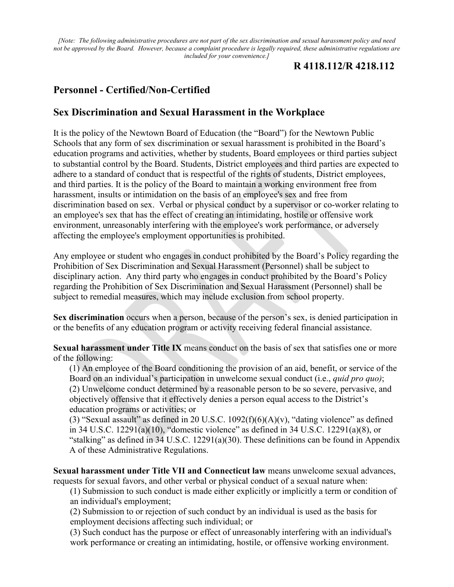*[Note: The following administrative procedures are not part of the sex discrimination and sexual harassment policy and need not be approved by the Board. However, because a complaint procedure is legally required, these administrative regulations are included for your convenience.]*

# **R 4118.112/R 4218.112**

# **Personnel - Certified/Non-Certified**

# **Sex Discrimination and Sexual Harassment in the Workplace**

It is the policy of the Newtown Board of Education (the "Board") for the Newtown Public Schools that any form of sex discrimination or sexual harassment is prohibited in the Board's education programs and activities, whether by students, Board employees or third parties subject to substantial control by the Board. Students, District employees and third parties are expected to adhere to a standard of conduct that is respectful of the rights of students, District employees, and third parties. It is the policy of the Board to maintain a working environment free from harassment, insults or intimidation on the basis of an employee's sex and free from discrimination based on sex. Verbal or physical conduct by a supervisor or co-worker relating to an employee's sex that has the effect of creating an intimidating, hostile or offensive work environment, unreasonably interfering with the employee's work performance, or adversely affecting the employee's employment opportunities is prohibited.

Any employee or student who engages in conduct prohibited by the Board's Policy regarding the Prohibition of Sex Discrimination and Sexual Harassment (Personnel) shall be subject to disciplinary action. Any third party who engages in conduct prohibited by the Board's Policy regarding the Prohibition of Sex Discrimination and Sexual Harassment (Personnel) shall be subject to remedial measures, which may include exclusion from school property.

**Sex discrimination** occurs when a person, because of the person's sex, is denied participation in or the benefits of any education program or activity receiving federal financial assistance.

**Sexual harassment under Title IX** means conduct on the basis of sex that satisfies one or more of the following:

(1) An employee of the Board conditioning the provision of an aid, benefit, or service of the Board on an individual's participation in unwelcome sexual conduct (i.e., *quid pro quo)*; (2) Unwelcome conduct determined by a reasonable person to be so severe, pervasive, and objectively offensive that it effectively denies a person equal access to the District's education programs or activities; or

(3) "Sexual assault" as defined in 20 U.S.C.  $1092(f)(6)(A)(v)$ , "dating violence" as defined in 34 U.S.C. 12291(a)(10), "domestic violence" as defined in 34 U.S.C. 12291(a)(8), or "stalking" as defined in  $34$  U.S.C. 12291(a)(30). These definitions can be found in Appendix A of these Administrative Regulations.

**Sexual harassment under Title VII and Connecticut law** means unwelcome sexual advances, requests for sexual favors, and other verbal or physical conduct of a sexual nature when:

(1) Submission to such conduct is made either explicitly or implicitly a term or condition of an individual's employment;

(2) Submission to or rejection of such conduct by an individual is used as the basis for employment decisions affecting such individual; or

(3) Such conduct has the purpose or effect of unreasonably interfering with an individual's work performance or creating an intimidating, hostile, or offensive working environment.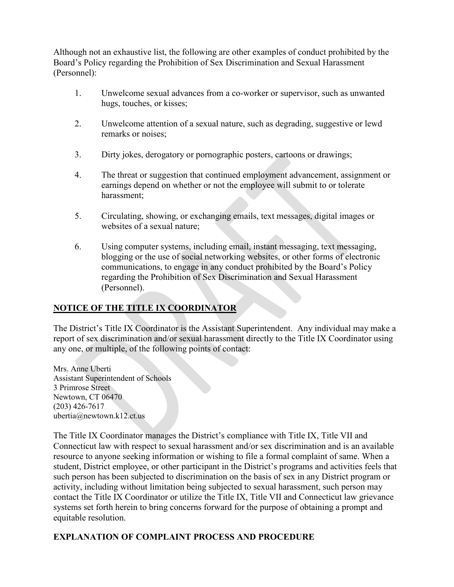Although not an exhaustive list, the following are other examples of conduct prohibited by the Board's Policy regarding the Prohibition of Sex Discrimination and Sexual Harassment (Personnel):

- 1. Unwelcome sexual advances from a co-worker or supervisor, such as unwanted hugs, touches, or kisses;
- 2. Unwelcome attention of a sexual nature, such as degrading, suggestive or lewd remarks or noises;
- 3. Dirty jokes, derogatory or pornographic posters, cartoons or drawings;
- 4. The threat or suggestion that continued employment advancement, assignment or earnings depend on whether or not the employee will submit to or tolerate harassment;
- 5. Circulating, showing, or exchanging emails, text messages, digital images or websites of a sexual nature;
- 6. Using computer systems, including email, instant messaging, text messaging, blogging or the use of social networking websites, or other forms of electronic communications, to engage in any conduct prohibited by the Board's Policy regarding the Prohibition of Sex Discrimination and Sexual Harassment (Personnel).

# **NOTICE OF THE TITLE IX COORDINATOR**

The District's Title IX Coordinator is the Assistant Superintendent. Any individual may make a report of sex discrimination and/or sexual harassment directly to the Title IX Coordinator using any one, or multiple, of the following points of contact:

Mrs. Anne Uberti Assistant Superintendent of Schools 3 Primrose Street Newtown, CT 06470 (203) 426-7617 ubertia@newtown.k12.ct.us

The Title IX Coordinator manages the District's compliance with Title IX, Title VII and Connecticut law with respect to sexual harassment and/or sex discrimination and is an available resource to anyone seeking information or wishing to file a formal complaint of same. When a student, District employee, or other participant in the District's programs and activities feels that such person has been subjected to discrimination on the basis of sex in any District program or activity, including without limitation being subjected to sexual harassment, such person may contact the Title IX Coordinator or utilize the Title IX, Title VII and Connecticut law grievance systems set forth herein to bring concerns forward for the purpose of obtaining a prompt and equitable resolution.

# **EXPLANATION OF COMPLAINT PROCESS AND PROCEDURE**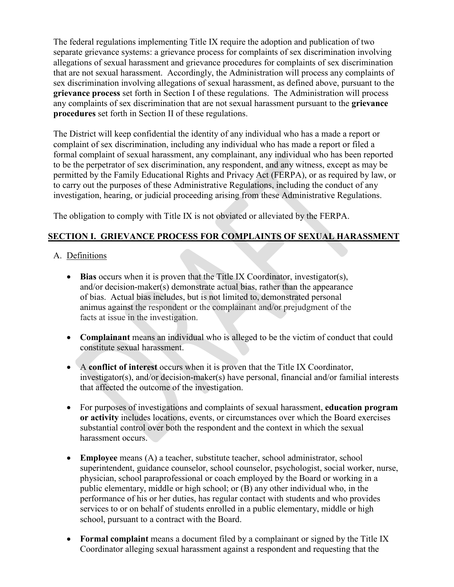The federal regulations implementing Title IX require the adoption and publication of two separate grievance systems: a grievance process for complaints of sex discrimination involving allegations of sexual harassment and grievance procedures for complaints of sex discrimination that are not sexual harassment. Accordingly, the Administration will process any complaints of sex discrimination involving allegations of sexual harassment, as defined above, pursuant to the **grievance process** set forth in Section I of these regulations. The Administration will process any complaints of sex discrimination that are not sexual harassment pursuant to the **grievance procedures** set forth in Section II of these regulations.

The District will keep confidential the identity of any individual who has a made a report or complaint of sex discrimination, including any individual who has made a report or filed a formal complaint of sexual harassment, any complainant, any individual who has been reported to be the perpetrator of sex discrimination, any respondent, and any witness, except as may be permitted by the Family Educational Rights and Privacy Act (FERPA), or as required by law, or to carry out the purposes of these Administrative Regulations, including the conduct of any investigation, hearing, or judicial proceeding arising from these Administrative Regulations.

The obligation to comply with Title IX is not obviated or alleviated by the FERPA.

# **SECTION I. GRIEVANCE PROCESS FOR COMPLAINTS OF SEXUAL HARASSMENT**

- A. Definitions
	- **Bias** occurs when it is proven that the Title IX Coordinator, investigator(s), and/or decision-maker(s) demonstrate actual bias, rather than the appearance of bias. Actual bias includes, but is not limited to, demonstrated personal animus against the respondent or the complainant and/or prejudgment of the facts at issue in the investigation.
	- **Complainant** means an individual who is alleged to be the victim of conduct that could constitute sexual harassment.
	- A **conflict of interest** occurs when it is proven that the Title IX Coordinator, investigator(s), and/or decision-maker(s) have personal, financial and/or familial interests that affected the outcome of the investigation.
	- For purposes of investigations and complaints of sexual harassment, **education program or activity** includes locations, events, or circumstances over which the Board exercises substantial control over both the respondent and the context in which the sexual harassment occurs.
	- **Employee** means (A) a teacher, substitute teacher, school administrator, school superintendent, guidance counselor, school counselor, psychologist, social worker, nurse, physician, school paraprofessional or coach employed by the Board or working in a public elementary, middle or high school; or (B) any other individual who, in the performance of his or her duties, has regular contact with students and who provides services to or on behalf of students enrolled in a public elementary, middle or high school, pursuant to a contract with the Board.
	- **Formal complaint** means a document filed by a complainant or signed by the Title IX Coordinator alleging sexual harassment against a respondent and requesting that the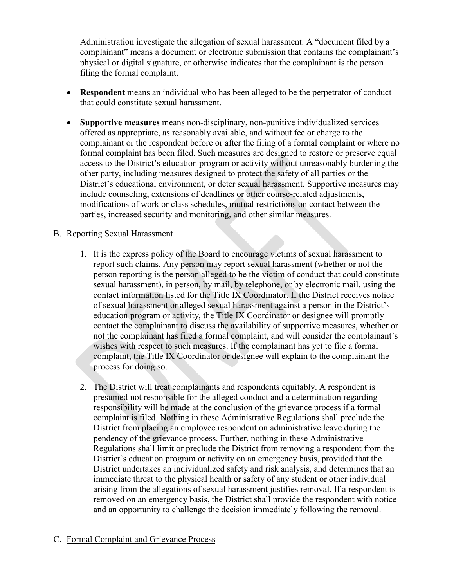Administration investigate the allegation of sexual harassment. A "document filed by a complainant" means a document or electronic submission that contains the complainant's physical or digital signature, or otherwise indicates that the complainant is the person filing the formal complaint.

- **Respondent** means an individual who has been alleged to be the perpetrator of conduct that could constitute sexual harassment.
- **Supportive measures** means non-disciplinary, non-punitive individualized services offered as appropriate, as reasonably available, and without fee or charge to the complainant or the respondent before or after the filing of a formal complaint or where no formal complaint has been filed. Such measures are designed to restore or preserve equal access to the District's education program or activity without unreasonably burdening the other party, including measures designed to protect the safety of all parties or the District's educational environment, or deter sexual harassment. Supportive measures may include counseling, extensions of deadlines or other course-related adjustments, modifications of work or class schedules, mutual restrictions on contact between the parties, increased security and monitoring, and other similar measures.

#### B. Reporting Sexual Harassment

- 1. It is the express policy of the Board to encourage victims of sexual harassment to report such claims. Any person may report sexual harassment (whether or not the person reporting is the person alleged to be the victim of conduct that could constitute sexual harassment), in person, by mail, by telephone, or by electronic mail, using the contact information listed for the Title IX Coordinator. If the District receives notice of sexual harassment or alleged sexual harassment against a person in the District's education program or activity, the Title IX Coordinator or designee will promptly contact the complainant to discuss the availability of supportive measures, whether or not the complainant has filed a formal complaint, and will consider the complainant's wishes with respect to such measures. If the complainant has yet to file a formal complaint, the Title IX Coordinator or designee will explain to the complainant the process for doing so.
- 2. The District will treat complainants and respondents equitably. A respondent is presumed not responsible for the alleged conduct and a determination regarding responsibility will be made at the conclusion of the grievance process if a formal complaint is filed. Nothing in these Administrative Regulations shall preclude the District from placing an employee respondent on administrative leave during the pendency of the grievance process. Further, nothing in these Administrative Regulations shall limit or preclude the District from removing a respondent from the District's education program or activity on an emergency basis, provided that the District undertakes an individualized safety and risk analysis, and determines that an immediate threat to the physical health or safety of any student or other individual arising from the allegations of sexual harassment justifies removal. If a respondent is removed on an emergency basis, the District shall provide the respondent with notice and an opportunity to challenge the decision immediately following the removal.

#### C. Formal Complaint and Grievance Process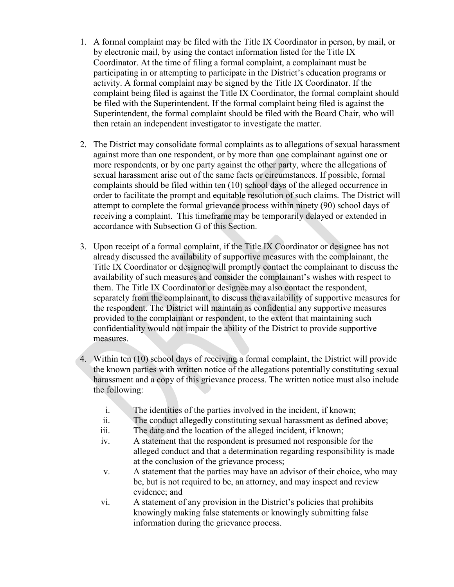- 1. A formal complaint may be filed with the Title IX Coordinator in person, by mail, or by electronic mail, by using the contact information listed for the Title IX Coordinator. At the time of filing a formal complaint, a complainant must be participating in or attempting to participate in the District's education programs or activity. A formal complaint may be signed by the Title IX Coordinator. If the complaint being filed is against the Title IX Coordinator, the formal complaint should be filed with the Superintendent. If the formal complaint being filed is against the Superintendent, the formal complaint should be filed with the Board Chair, who will then retain an independent investigator to investigate the matter.
- 2. The District may consolidate formal complaints as to allegations of sexual harassment against more than one respondent, or by more than one complainant against one or more respondents, or by one party against the other party, where the allegations of sexual harassment arise out of the same facts or circumstances. If possible, formal complaints should be filed within ten (10) school days of the alleged occurrence in order to facilitate the prompt and equitable resolution of such claims. The District will attempt to complete the formal grievance process within ninety (90) school days of receiving a complaint. This timeframe may be temporarily delayed or extended in accordance with Subsection G of this Section.
- 3. Upon receipt of a formal complaint, if the Title IX Coordinator or designee has not already discussed the availability of supportive measures with the complainant, the Title IX Coordinator or designee will promptly contact the complainant to discuss the availability of such measures and consider the complainant's wishes with respect to them. The Title IX Coordinator or designee may also contact the respondent, separately from the complainant, to discuss the availability of supportive measures for the respondent. The District will maintain as confidential any supportive measures provided to the complainant or respondent, to the extent that maintaining such confidentiality would not impair the ability of the District to provide supportive measures.
- 4. Within ten (10) school days of receiving a formal complaint, the District will provide the known parties with written notice of the allegations potentially constituting sexual harassment and a copy of this grievance process. The written notice must also include the following:
	- i. The identities of the parties involved in the incident, if known;
	- ii. The conduct allegedly constituting sexual harassment as defined above;
	- iii. The date and the location of the alleged incident, if known;
	- iv. A statement that the respondent is presumed not responsible for the alleged conduct and that a determination regarding responsibility is made at the conclusion of the grievance process;
	- v. A statement that the parties may have an advisor of their choice, who may be, but is not required to be, an attorney, and may inspect and review evidence; and
	- vi. A statement of any provision in the District's policies that prohibits knowingly making false statements or knowingly submitting false information during the grievance process.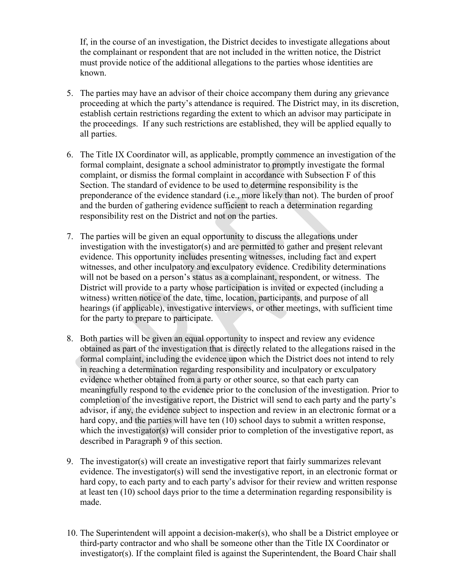If, in the course of an investigation, the District decides to investigate allegations about the complainant or respondent that are not included in the written notice, the District must provide notice of the additional allegations to the parties whose identities are known.

- 5. The parties may have an advisor of their choice accompany them during any grievance proceeding at which the party's attendance is required. The District may, in its discretion, establish certain restrictions regarding the extent to which an advisor may participate in the proceedings. If any such restrictions are established, they will be applied equally to all parties.
- 6. The Title IX Coordinator will, as applicable, promptly commence an investigation of the formal complaint, designate a school administrator to promptly investigate the formal complaint, or dismiss the formal complaint in accordance with Subsection F of this Section. The standard of evidence to be used to determine responsibility is the preponderance of the evidence standard (i.e., more likely than not). The burden of proof and the burden of gathering evidence sufficient to reach a determination regarding responsibility rest on the District and not on the parties.
- 7. The parties will be given an equal opportunity to discuss the allegations under investigation with the investigator(s) and are permitted to gather and present relevant evidence. This opportunity includes presenting witnesses, including fact and expert witnesses, and other inculpatory and exculpatory evidence. Credibility determinations will not be based on a person's status as a complainant, respondent, or witness. The District will provide to a party whose participation is invited or expected (including a witness) written notice of the date, time, location, participants, and purpose of all hearings (if applicable), investigative interviews, or other meetings, with sufficient time for the party to prepare to participate.
- 8. Both parties will be given an equal opportunity to inspect and review any evidence obtained as part of the investigation that is directly related to the allegations raised in the formal complaint, including the evidence upon which the District does not intend to rely in reaching a determination regarding responsibility and inculpatory or exculpatory evidence whether obtained from a party or other source, so that each party can meaningfully respond to the evidence prior to the conclusion of the investigation. Prior to completion of the investigative report, the District will send to each party and the party's advisor, if any, the evidence subject to inspection and review in an electronic format or a hard copy, and the parties will have ten (10) school days to submit a written response, which the investigator(s) will consider prior to completion of the investigative report, as described in Paragraph 9 of this section.
- 9. The investigator(s) will create an investigative report that fairly summarizes relevant evidence. The investigator(s) will send the investigative report, in an electronic format or hard copy, to each party and to each party's advisor for their review and written response at least ten (10) school days prior to the time a determination regarding responsibility is made.
- 10. The Superintendent will appoint a decision-maker(s), who shall be a District employee or third-party contractor and who shall be someone other than the Title IX Coordinator or investigator(s). If the complaint filed is against the Superintendent, the Board Chair shall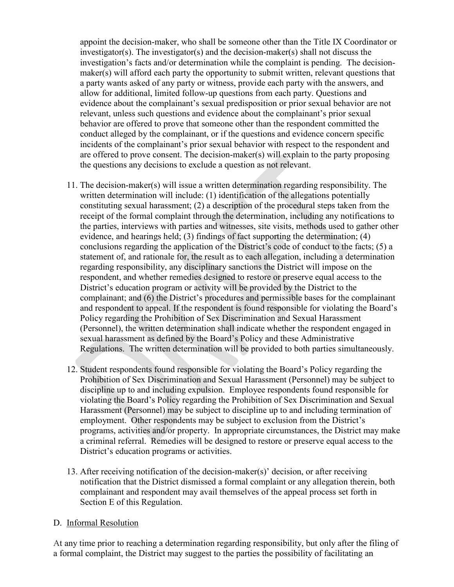appoint the decision-maker, who shall be someone other than the Title IX Coordinator or investigator(s). The investigator(s) and the decision-maker(s) shall not discuss the investigation's facts and/or determination while the complaint is pending. The decisionmaker(s) will afford each party the opportunity to submit written, relevant questions that a party wants asked of any party or witness, provide each party with the answers, and allow for additional, limited follow-up questions from each party. Questions and evidence about the complainant's sexual predisposition or prior sexual behavior are not relevant, unless such questions and evidence about the complainant's prior sexual behavior are offered to prove that someone other than the respondent committed the conduct alleged by the complainant, or if the questions and evidence concern specific incidents of the complainant's prior sexual behavior with respect to the respondent and are offered to prove consent. The decision-maker(s) will explain to the party proposing the questions any decisions to exclude a question as not relevant.

- 11. The decision-maker(s) will issue a written determination regarding responsibility. The written determination will include: (1) identification of the allegations potentially constituting sexual harassment; (2) a description of the procedural steps taken from the receipt of the formal complaint through the determination, including any notifications to the parties, interviews with parties and witnesses, site visits, methods used to gather other evidence, and hearings held; (3) findings of fact supporting the determination; (4) conclusions regarding the application of the District's code of conduct to the facts; (5) a statement of, and rationale for, the result as to each allegation, including a determination regarding responsibility, any disciplinary sanctions the District will impose on the respondent, and whether remedies designed to restore or preserve equal access to the District's education program or activity will be provided by the District to the complainant; and (6) the District's procedures and permissible bases for the complainant and respondent to appeal. If the respondent is found responsible for violating the Board's Policy regarding the Prohibition of Sex Discrimination and Sexual Harassment (Personnel), the written determination shall indicate whether the respondent engaged in sexual harassment as defined by the Board's Policy and these Administrative Regulations. The written determination will be provided to both parties simultaneously.
- 12. Student respondents found responsible for violating the Board's Policy regarding the Prohibition of Sex Discrimination and Sexual Harassment (Personnel) may be subject to discipline up to and including expulsion. Employee respondents found responsible for violating the Board's Policy regarding the Prohibition of Sex Discrimination and Sexual Harassment (Personnel) may be subject to discipline up to and including termination of employment. Other respondents may be subject to exclusion from the District's programs, activities and/or property. In appropriate circumstances, the District may make a criminal referral. Remedies will be designed to restore or preserve equal access to the District's education programs or activities.
- 13. After receiving notification of the decision-maker(s)' decision, or after receiving notification that the District dismissed a formal complaint or any allegation therein, both complainant and respondent may avail themselves of the appeal process set forth in Section E of this Regulation.

#### D. Informal Resolution

At any time prior to reaching a determination regarding responsibility, but only after the filing of a formal complaint, the District may suggest to the parties the possibility of facilitating an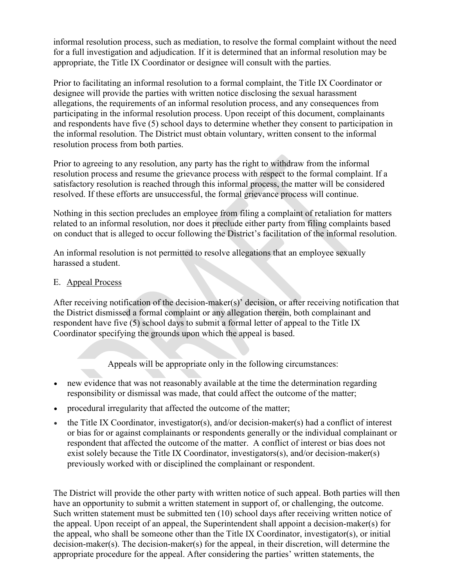informal resolution process, such as mediation, to resolve the formal complaint without the need for a full investigation and adjudication. If it is determined that an informal resolution may be appropriate, the Title IX Coordinator or designee will consult with the parties.

Prior to facilitating an informal resolution to a formal complaint, the Title IX Coordinator or designee will provide the parties with written notice disclosing the sexual harassment allegations, the requirements of an informal resolution process, and any consequences from participating in the informal resolution process. Upon receipt of this document, complainants and respondents have five (5) school days to determine whether they consent to participation in the informal resolution. The District must obtain voluntary, written consent to the informal resolution process from both parties.

Prior to agreeing to any resolution, any party has the right to withdraw from the informal resolution process and resume the grievance process with respect to the formal complaint. If a satisfactory resolution is reached through this informal process, the matter will be considered resolved. If these efforts are unsuccessful, the formal grievance process will continue.

Nothing in this section precludes an employee from filing a complaint of retaliation for matters related to an informal resolution, nor does it preclude either party from filing complaints based on conduct that is alleged to occur following the District's facilitation of the informal resolution.

An informal resolution is not permitted to resolve allegations that an employee sexually harassed a student.

### E. Appeal Process

After receiving notification of the decision-maker(s)' decision, or after receiving notification that the District dismissed a formal complaint or any allegation therein, both complainant and respondent have five (5) school days to submit a formal letter of appeal to the Title IX Coordinator specifying the grounds upon which the appeal is based.

Appeals will be appropriate only in the following circumstances:

- new evidence that was not reasonably available at the time the determination regarding responsibility or dismissal was made, that could affect the outcome of the matter;
- procedural irregularity that affected the outcome of the matter;
- the Title IX Coordinator, investigator(s), and/or decision-maker(s) had a conflict of interest or bias for or against complainants or respondents generally or the individual complainant or respondent that affected the outcome of the matter. A conflict of interest or bias does not exist solely because the Title IX Coordinator, investigators(s), and/or decision-maker(s) previously worked with or disciplined the complainant or respondent.

The District will provide the other party with written notice of such appeal. Both parties will then have an opportunity to submit a written statement in support of, or challenging, the outcome. Such written statement must be submitted ten (10) school days after receiving written notice of the appeal. Upon receipt of an appeal, the Superintendent shall appoint a decision-maker(s) for the appeal, who shall be someone other than the Title IX Coordinator, investigator(s), or initial decision-maker(s). The decision-maker(s) for the appeal, in their discretion, will determine the appropriate procedure for the appeal. After considering the parties' written statements, the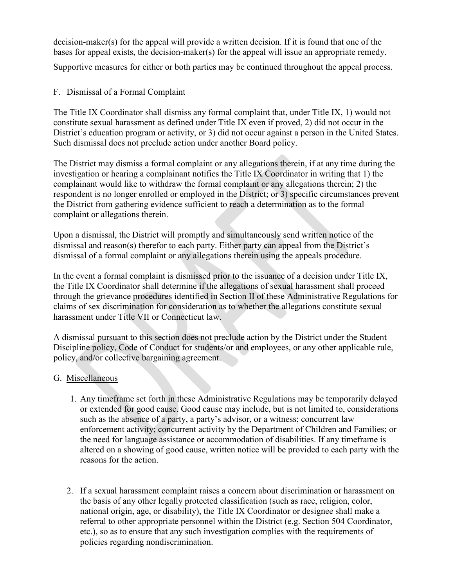decision-maker(s) for the appeal will provide a written decision. If it is found that one of the bases for appeal exists, the decision-maker(s) for the appeal will issue an appropriate remedy.

Supportive measures for either or both parties may be continued throughout the appeal process.

# F. Dismissal of a Formal Complaint

The Title IX Coordinator shall dismiss any formal complaint that, under Title IX, 1) would not constitute sexual harassment as defined under Title IX even if proved, 2) did not occur in the District's education program or activity, or 3) did not occur against a person in the United States. Such dismissal does not preclude action under another Board policy.

The District may dismiss a formal complaint or any allegations therein, if at any time during the investigation or hearing a complainant notifies the Title IX Coordinator in writing that 1) the complainant would like to withdraw the formal complaint or any allegations therein; 2) the respondent is no longer enrolled or employed in the District; or 3) specific circumstances prevent the District from gathering evidence sufficient to reach a determination as to the formal complaint or allegations therein.

Upon a dismissal, the District will promptly and simultaneously send written notice of the dismissal and reason(s) therefor to each party. Either party can appeal from the District's dismissal of a formal complaint or any allegations therein using the appeals procedure.

In the event a formal complaint is dismissed prior to the issuance of a decision under Title IX, the Title IX Coordinator shall determine if the allegations of sexual harassment shall proceed through the grievance procedures identified in Section II of these Administrative Regulations for claims of sex discrimination for consideration as to whether the allegations constitute sexual harassment under Title VII or Connecticut law.

A dismissal pursuant to this section does not preclude action by the District under the Student Discipline policy, Code of Conduct for students/or and employees, or any other applicable rule, policy, and/or collective bargaining agreement.

# G. Miscellaneous

- 1. Any timeframe set forth in these Administrative Regulations may be temporarily delayed or extended for good cause. Good cause may include, but is not limited to, considerations such as the absence of a party, a party's advisor, or a witness; concurrent law enforcement activity; concurrent activity by the Department of Children and Families; or the need for language assistance or accommodation of disabilities. If any timeframe is altered on a showing of good cause, written notice will be provided to each party with the reasons for the action.
- 2. If a sexual harassment complaint raises a concern about discrimination or harassment on the basis of any other legally protected classification (such as race, religion, color, national origin, age, or disability), the Title IX Coordinator or designee shall make a referral to other appropriate personnel within the District (e.g. Section 504 Coordinator, etc.), so as to ensure that any such investigation complies with the requirements of policies regarding nondiscrimination.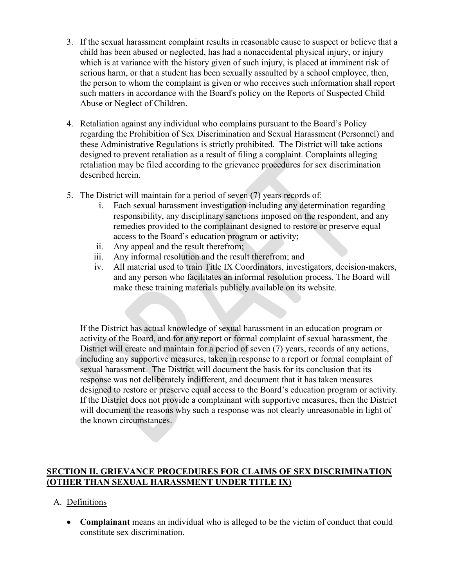- 3. If the sexual harassment complaint results in reasonable cause to suspect or believe that a child has been abused or neglected, has had a nonaccidental physical injury, or injury which is at variance with the history given of such injury, is placed at imminent risk of serious harm, or that a student has been sexually assaulted by a school employee, then, the person to whom the complaint is given or who receives such information shall report such matters in accordance with the Board's policy on the Reports of Suspected Child Abuse or Neglect of Children.
- 4. Retaliation against any individual who complains pursuant to the Board's Policy regarding the Prohibition of Sex Discrimination and Sexual Harassment (Personnel) and these Administrative Regulations is strictly prohibited. The District will take actions designed to prevent retaliation as a result of filing a complaint. Complaints alleging retaliation may be filed according to the grievance procedures for sex discrimination described herein.
- 5. The District will maintain for a period of seven (7) years records of:
	- i. Each sexual harassment investigation including any determination regarding responsibility, any disciplinary sanctions imposed on the respondent, and any remedies provided to the complainant designed to restore or preserve equal access to the Board's education program or activity;
	- ii. Any appeal and the result therefrom;
	- iii. Any informal resolution and the result therefrom; and
	- iv. All material used to train Title IX Coordinators, investigators, decision-makers, and any person who facilitates an informal resolution process. The Board will make these training materials publicly available on its website.

If the District has actual knowledge of sexual harassment in an education program or activity of the Board, and for any report or formal complaint of sexual harassment, the District will create and maintain for a period of seven (7) years, records of any actions, including any supportive measures, taken in response to a report or formal complaint of sexual harassment. The District will document the basis for its conclusion that its response was not deliberately indifferent, and document that it has taken measures designed to restore or preserve equal access to the Board's education program or activity. If the District does not provide a complainant with supportive measures, then the District will document the reasons why such a response was not clearly unreasonable in light of the known circumstances.

# **SECTION II. GRIEVANCE PROCEDURES FOR CLAIMS OF SEX DISCRIMINATION (OTHER THAN SEXUAL HARASSMENT UNDER TITLE IX)**

# A. Definitions

• **Complainant** means an individual who is alleged to be the victim of conduct that could constitute sex discrimination.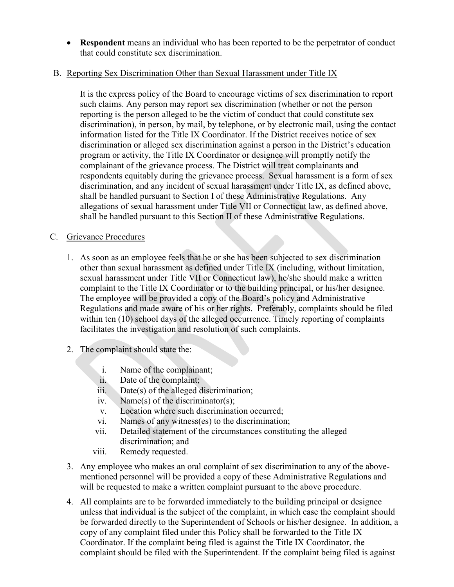• **Respondent** means an individual who has been reported to be the perpetrator of conduct that could constitute sex discrimination.

# B. Reporting Sex Discrimination Other than Sexual Harassment under Title IX

It is the express policy of the Board to encourage victims of sex discrimination to report such claims. Any person may report sex discrimination (whether or not the person reporting is the person alleged to be the victim of conduct that could constitute sex discrimination), in person, by mail, by telephone, or by electronic mail, using the contact information listed for the Title IX Coordinator. If the District receives notice of sex discrimination or alleged sex discrimination against a person in the District's education program or activity, the Title IX Coordinator or designee will promptly notify the complainant of the grievance process. The District will treat complainants and respondents equitably during the grievance process. Sexual harassment is a form of sex discrimination, and any incident of sexual harassment under Title IX, as defined above, shall be handled pursuant to Section I of these Administrative Regulations. Any allegations of sexual harassment under Title VII or Connecticut law, as defined above, shall be handled pursuant to this Section II of these Administrative Regulations.

# C. Grievance Procedures

- 1. As soon as an employee feels that he or she has been subjected to sex discrimination other than sexual harassment as defined under Title IX (including, without limitation, sexual harassment under Title VII or Connecticut law), he/she should make a written complaint to the Title IX Coordinator or to the building principal, or his/her designee. The employee will be provided a copy of the Board's policy and Administrative Regulations and made aware of his or her rights. Preferably, complaints should be filed within ten (10) school days of the alleged occurrence. Timely reporting of complaints facilitates the investigation and resolution of such complaints.
- 2. The complaint should state the:
	- i. Name of the complainant;
	- ii. Date of the complaint;
	- iii. Date(s) of the alleged discrimination;
	- iv. Name(s) of the discriminator(s);
	- v. Location where such discrimination occurred;
	- vi. Names of any witness(es) to the discrimination;
	- vii. Detailed statement of the circumstances constituting the alleged discrimination; and
	- viii. Remedy requested.
- 3. Any employee who makes an oral complaint of sex discrimination to any of the abovementioned personnel will be provided a copy of these Administrative Regulations and will be requested to make a written complaint pursuant to the above procedure.
- 4. All complaints are to be forwarded immediately to the building principal or designee unless that individual is the subject of the complaint, in which case the complaint should be forwarded directly to the Superintendent of Schools or his/her designee. In addition, a copy of any complaint filed under this Policy shall be forwarded to the Title IX Coordinator. If the complaint being filed is against the Title IX Coordinator, the complaint should be filed with the Superintendent. If the complaint being filed is against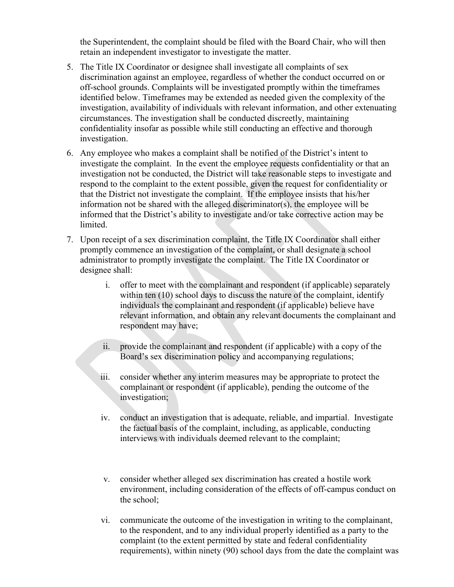the Superintendent, the complaint should be filed with the Board Chair, who will then retain an independent investigator to investigate the matter.

- 5. The Title IX Coordinator or designee shall investigate all complaints of sex discrimination against an employee, regardless of whether the conduct occurred on or off-school grounds. Complaints will be investigated promptly within the timeframes identified below. Timeframes may be extended as needed given the complexity of the investigation, availability of individuals with relevant information, and other extenuating circumstances. The investigation shall be conducted discreetly, maintaining confidentiality insofar as possible while still conducting an effective and thorough investigation.
- 6. Any employee who makes a complaint shall be notified of the District's intent to investigate the complaint. In the event the employee requests confidentiality or that an investigation not be conducted, the District will take reasonable steps to investigate and respond to the complaint to the extent possible, given the request for confidentiality or that the District not investigate the complaint. If the employee insists that his/her information not be shared with the alleged discriminator(s), the employee will be informed that the District's ability to investigate and/or take corrective action may be limited.
- 7. Upon receipt of a sex discrimination complaint, the Title IX Coordinator shall either promptly commence an investigation of the complaint, or shall designate a school administrator to promptly investigate the complaint. The Title IX Coordinator or designee shall:
	- i. offer to meet with the complainant and respondent (if applicable) separately within ten (10) school days to discuss the nature of the complaint, identify individuals the complainant and respondent (if applicable) believe have relevant information, and obtain any relevant documents the complainant and respondent may have;
	- ii. provide the complainant and respondent (if applicable) with a copy of the Board's sex discrimination policy and accompanying regulations;
	- iii. consider whether any interim measures may be appropriate to protect the complainant or respondent (if applicable), pending the outcome of the investigation;
	- iv. conduct an investigation that is adequate, reliable, and impartial. Investigate the factual basis of the complaint, including, as applicable, conducting interviews with individuals deemed relevant to the complaint;
	- v. consider whether alleged sex discrimination has created a hostile work environment, including consideration of the effects of off-campus conduct on the school;
	- vi. communicate the outcome of the investigation in writing to the complainant, to the respondent, and to any individual properly identified as a party to the complaint (to the extent permitted by state and federal confidentiality requirements), within ninety (90) school days from the date the complaint was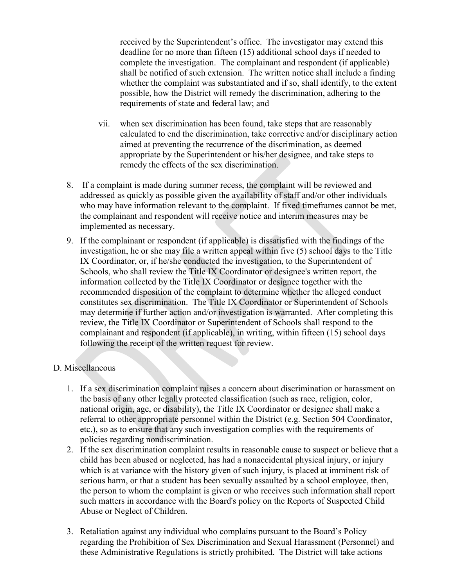received by the Superintendent's office. The investigator may extend this deadline for no more than fifteen (15) additional school days if needed to complete the investigation. The complainant and respondent (if applicable) shall be notified of such extension. The written notice shall include a finding whether the complaint was substantiated and if so, shall identify, to the extent possible, how the District will remedy the discrimination, adhering to the requirements of state and federal law; and

- vii. when sex discrimination has been found, take steps that are reasonably calculated to end the discrimination, take corrective and/or disciplinary action aimed at preventing the recurrence of the discrimination, as deemed appropriate by the Superintendent or his/her designee, and take steps to remedy the effects of the sex discrimination.
- 8. If a complaint is made during summer recess, the complaint will be reviewed and addressed as quickly as possible given the availability of staff and/or other individuals who may have information relevant to the complaint. If fixed timeframes cannot be met, the complainant and respondent will receive notice and interim measures may be implemented as necessary.
- 9. If the complainant or respondent (if applicable) is dissatisfied with the findings of the investigation, he or she may file a written appeal within five (5) school days to the Title IX Coordinator, or, if he/she conducted the investigation, to the Superintendent of Schools, who shall review the Title IX Coordinator or designee's written report, the information collected by the Title IX Coordinator or designee together with the recommended disposition of the complaint to determine whether the alleged conduct constitutes sex discrimination. The Title IX Coordinator or Superintendent of Schools may determine if further action and/or investigation is warranted. After completing this review, the Title IX Coordinator or Superintendent of Schools shall respond to the complainant and respondent (if applicable), in writing, within fifteen (15) school days following the receipt of the written request for review.

#### D. Miscellaneous

- 1. If a sex discrimination complaint raises a concern about discrimination or harassment on the basis of any other legally protected classification (such as race, religion, color, national origin, age, or disability), the Title IX Coordinator or designee shall make a referral to other appropriate personnel within the District (e.g. Section 504 Coordinator, etc.), so as to ensure that any such investigation complies with the requirements of policies regarding nondiscrimination.
- 2. If the sex discrimination complaint results in reasonable cause to suspect or believe that a child has been abused or neglected, has had a nonaccidental physical injury, or injury which is at variance with the history given of such injury, is placed at imminent risk of serious harm, or that a student has been sexually assaulted by a school employee, then, the person to whom the complaint is given or who receives such information shall report such matters in accordance with the Board's policy on the Reports of Suspected Child Abuse or Neglect of Children.
- 3. Retaliation against any individual who complains pursuant to the Board's Policy regarding the Prohibition of Sex Discrimination and Sexual Harassment (Personnel) and these Administrative Regulations is strictly prohibited. The District will take actions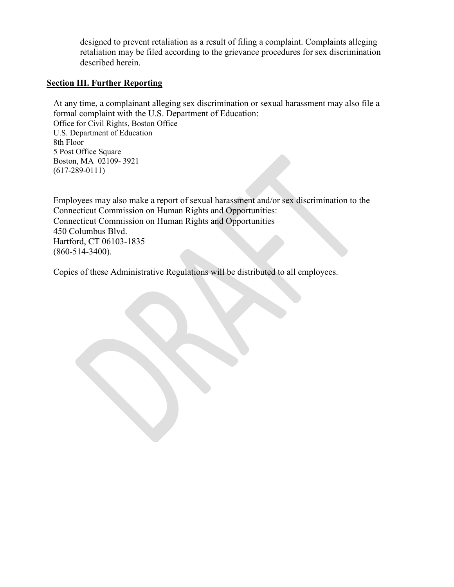designed to prevent retaliation as a result of filing a complaint. Complaints alleging retaliation may be filed according to the grievance procedures for sex discrimination described herein.

### **Section III. Further Reporting**

At any time, a complainant alleging sex discrimination or sexual harassment may also file a formal complaint with the U.S. Department of Education: Office for Civil Rights, Boston Office U.S. Department of Education 8th Floor 5 Post Office Square Boston, MA 02109- 3921 (617-289-0111)

Employees may also make a report of sexual harassment and/or sex discrimination to the Connecticut Commission on Human Rights and Opportunities: Connecticut Commission on Human Rights and Opportunities 450 Columbus Blvd. Hartford, CT 06103-1835 (860-514-3400).

Copies of these Administrative Regulations will be distributed to all employees.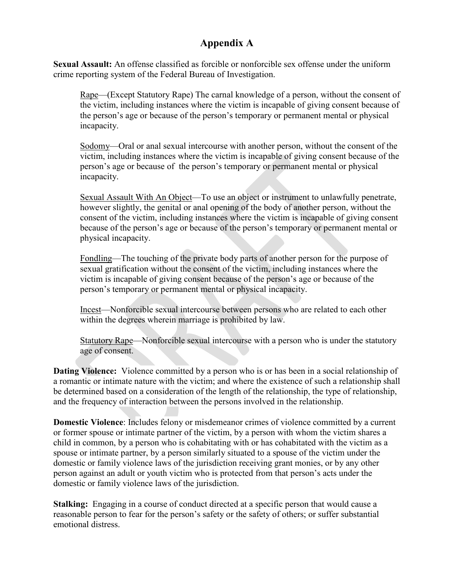# **Appendix A**

**Sexual Assault:** An offense classified as forcible or nonforcible sex offense under the uniform crime reporting system of the Federal Bureau of Investigation.

Rape—(Except Statutory Rape) The carnal knowledge of a person, without the consent of the victim, including instances where the victim is incapable of giving consent because of the person's age or because of the person's temporary or permanent mental or physical incapacity.

Sodomy—Oral or anal sexual intercourse with another person, without the consent of the victim, including instances where the victim is incapable of giving consent because of the person's age or because of the person's temporary or permanent mental or physical incapacity.

Sexual Assault With An Object—To use an object or instrument to unlawfully penetrate, however slightly, the genital or anal opening of the body of another person, without the consent of the victim, including instances where the victim is incapable of giving consent because of the person's age or because of the person's temporary or permanent mental or physical incapacity.

Fondling—The touching of the private body parts of another person for the purpose of sexual gratification without the consent of the victim, including instances where the victim is incapable of giving consent because of the person's age or because of the person's temporary or permanent mental or physical incapacity.

Incest—Nonforcible sexual intercourse between persons who are related to each other within the degrees wherein marriage is prohibited by law.

Statutory Rape—Nonforcible sexual intercourse with a person who is under the statutory age of consent.

**Dating Violence:** Violence committed by a person who is or has been in a social relationship of a romantic or intimate nature with the victim; and where the existence of such a relationship shall be determined based on a consideration of the length of the relationship, the type of relationship, and the frequency of interaction between the persons involved in the relationship.

**Domestic Violence**: Includes felony or misdemeanor crimes of violence committed by a current or former spouse or intimate partner of the victim, by a person with whom the victim shares a child in common, by a person who is cohabitating with or has cohabitated with the victim as a spouse or intimate partner, by a person similarly situated to a spouse of the victim under the domestic or family violence laws of the jurisdiction receiving grant monies, or by any other person against an adult or youth victim who is protected from that person's acts under the domestic or family violence laws of the jurisdiction.

**Stalking:** Engaging in a course of conduct directed at a specific person that would cause a reasonable person to fear for the person's safety or the safety of others; or suffer substantial emotional distress.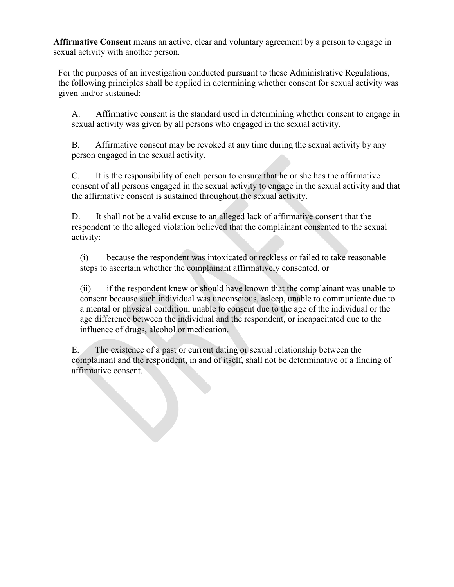**Affirmative Consent** means an active, clear and voluntary agreement by a person to engage in sexual activity with another person.

For the purposes of an investigation conducted pursuant to these Administrative Regulations, the following principles shall be applied in determining whether consent for sexual activity was given and/or sustained:

A. Affirmative consent is the standard used in determining whether consent to engage in sexual activity was given by all persons who engaged in the sexual activity.

B. Affirmative consent may be revoked at any time during the sexual activity by any person engaged in the sexual activity.

C. It is the responsibility of each person to ensure that he or she has the affirmative consent of all persons engaged in the sexual activity to engage in the sexual activity and that the affirmative consent is sustained throughout the sexual activity.

D. It shall not be a valid excuse to an alleged lack of affirmative consent that the respondent to the alleged violation believed that the complainant consented to the sexual activity:

(i) because the respondent was intoxicated or reckless or failed to take reasonable steps to ascertain whether the complainant affirmatively consented, or

(ii) if the respondent knew or should have known that the complainant was unable to consent because such individual was unconscious, asleep, unable to communicate due to a mental or physical condition, unable to consent due to the age of the individual or the age difference between the individual and the respondent, or incapacitated due to the influence of drugs, alcohol or medication.

E. The existence of a past or current dating or sexual relationship between the complainant and the respondent, in and of itself, shall not be determinative of a finding of affirmative consent.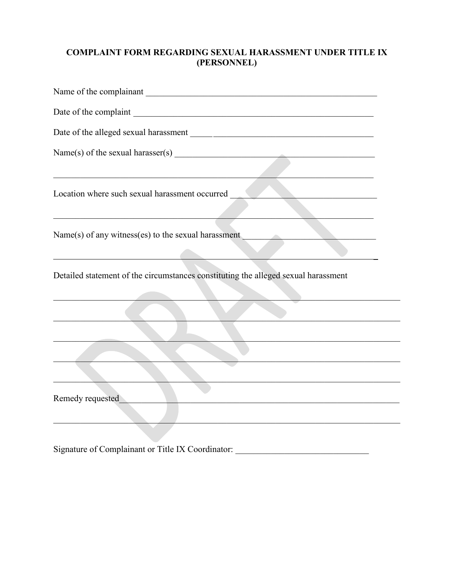# **COMPLAINT FORM REGARDING SEXUAL HARASSMENT UNDER TITLE IX** (PERSONNEL)

| Name of the complainant                                                            |
|------------------------------------------------------------------------------------|
|                                                                                    |
|                                                                                    |
|                                                                                    |
| Location where such sexual harassment occurred                                     |
| Name(s) of any witness(es) to the sexual harassment                                |
| Detailed statement of the circumstances constituting the alleged sexual harassment |
|                                                                                    |
|                                                                                    |
|                                                                                    |
|                                                                                    |
| Remedy requested                                                                   |
|                                                                                    |

Signature of Complainant or Title IX Coordinator: \_\_\_\_\_\_\_\_\_\_\_\_\_\_\_\_\_\_\_\_\_\_\_\_\_\_\_\_\_\_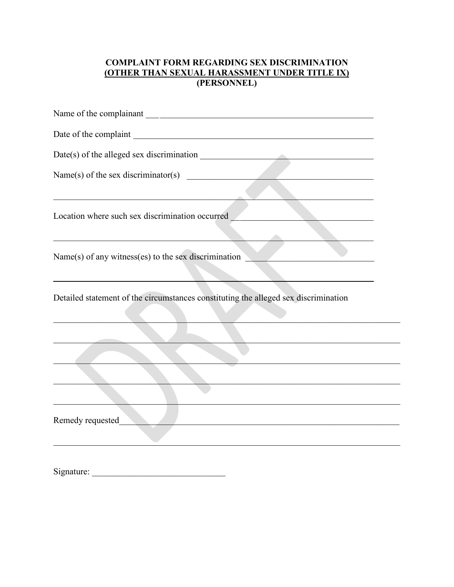# **COMPLAINT FORM REGARDING SEX DISCRIMINATION** (OTHER THAN SEXUAL HARASSMENT UNDER TITLE IX)<br>(PERSONNEL)

| Name(s) of the sex discriminator(s) $\qquad \qquad$                                                                    |
|------------------------------------------------------------------------------------------------------------------------|
| <u> 1990 - Jan James James James James James James James James James James James James James James James James Ja</u>  |
| Location where such sex discrimination occurred                                                                        |
|                                                                                                                        |
| Name(s) of any witness(es) to the sex discrimination                                                                   |
|                                                                                                                        |
| Detailed statement of the circumstances constituting the alleged sex discrimination                                    |
|                                                                                                                        |
|                                                                                                                        |
| <u> 1989 - Johann Stoff, deutscher Stoffen und der Stoffen und der Stoffen und der Stoffen und der Stoffen und der</u> |
|                                                                                                                        |
|                                                                                                                        |
| Remedy requested                                                                                                       |
|                                                                                                                        |
|                                                                                                                        |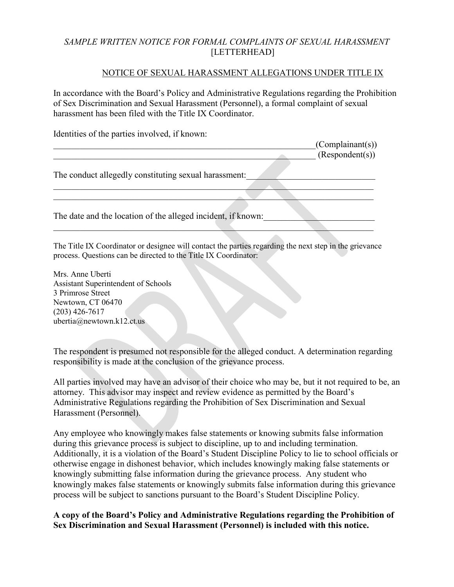### *SAMPLE WRITTEN NOTICE FOR FORMAL COMPLAINTS OF SEXUAL HARASSMENT* [LETTERHEAD]

#### NOTICE OF SEXUAL HARASSMENT ALLEGATIONS UNDER TITLE IX

In accordance with the Board's Policy and Administrative Regulations regarding the Prohibition of Sex Discrimination and Sexual Harassment (Personnel), a formal complaint of sexual harassment has been filed with the Title IX Coordinator.

Identities of the parties involved, if known:

|                                                              | (Complainant(s))<br>(Respondent(s)) |
|--------------------------------------------------------------|-------------------------------------|
| The conduct allegedly constituting sexual harassment:        |                                     |
|                                                              |                                     |
| The date and the location of the alleged incident, if known: |                                     |
|                                                              |                                     |

The Title IX Coordinator or designee will contact the parties regarding the next step in the grievance process. Questions can be directed to the Title IX Coordinator:

Mrs. Anne Uberti Assistant Superintendent of Schools 3 Primrose Street Newtown, CT 06470 (203) 426-7617 ubertia@newtown.k12.ct.us

The respondent is presumed not responsible for the alleged conduct. A determination regarding responsibility is made at the conclusion of the grievance process.

All parties involved may have an advisor of their choice who may be, but it not required to be, an attorney. This advisor may inspect and review evidence as permitted by the Board's Administrative Regulations regarding the Prohibition of Sex Discrimination and Sexual Harassment (Personnel).

Any employee who knowingly makes false statements or knowing submits false information during this grievance process is subject to discipline, up to and including termination. Additionally, it is a violation of the Board's Student Discipline Policy to lie to school officials or otherwise engage in dishonest behavior, which includes knowingly making false statements or knowingly submitting false information during the grievance process. Any student who knowingly makes false statements or knowingly submits false information during this grievance process will be subject to sanctions pursuant to the Board's Student Discipline Policy.

**A copy of the Board's Policy and Administrative Regulations regarding the Prohibition of Sex Discrimination and Sexual Harassment (Personnel) is included with this notice.**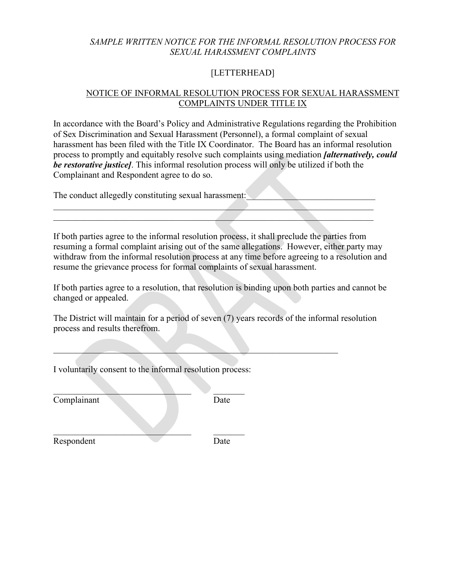### *SAMPLE WRITTEN NOTICE FOR THE INFORMAL RESOLUTION PROCESS FOR SEXUAL HARASSMENT COMPLAINTS*

# [LETTERHEAD]

# NOTICE OF INFORMAL RESOLUTION PROCESS FOR SEXUAL HARASSMENT COMPLAINTS UNDER TITLE IX

In accordance with the Board's Policy and Administrative Regulations regarding the Prohibition of Sex Discrimination and Sexual Harassment (Personnel), a formal complaint of sexual harassment has been filed with the Title IX Coordinator. The Board has an informal resolution process to promptly and equitably resolve such complaints using mediation *[alternatively, could be restorative justice]*. This informal resolution process will only be utilized if both the Complainant and Respondent agree to do so.

The conduct allegedly constituting sexual harassment:

If both parties agree to the informal resolution process, it shall preclude the parties from resuming a formal complaint arising out of the same allegations. However, either party may withdraw from the informal resolution process at any time before agreeing to a resolution and resume the grievance process for formal complaints of sexual harassment.

 $\mathcal{L}_\mathcal{L}$  , and the contribution of the contribution of the contribution of the contribution of the contribution of the contribution of the contribution of the contribution of the contribution of the contribution of  $\mathcal{L}_\mathcal{L} = \mathcal{L}_\mathcal{L} = \mathcal{L}_\mathcal{L} = \mathcal{L}_\mathcal{L} = \mathcal{L}_\mathcal{L} = \mathcal{L}_\mathcal{L} = \mathcal{L}_\mathcal{L} = \mathcal{L}_\mathcal{L} = \mathcal{L}_\mathcal{L} = \mathcal{L}_\mathcal{L} = \mathcal{L}_\mathcal{L} = \mathcal{L}_\mathcal{L} = \mathcal{L}_\mathcal{L} = \mathcal{L}_\mathcal{L} = \mathcal{L}_\mathcal{L} = \mathcal{L}_\mathcal{L} = \mathcal{L}_\mathcal{L}$ 

If both parties agree to a resolution, that resolution is binding upon both parties and cannot be changed or appealed.

The District will maintain for a period of seven (7) years records of the informal resolution process and results therefrom.

 $\mathcal{L}=\mathcal{L}=\mathcal{L}=\mathcal{L}=\mathcal{L}=\mathcal{L}=\mathcal{L}=\mathcal{L}=\mathcal{L}=\mathcal{L}=\mathcal{L}=\mathcal{L}=\mathcal{L}=\mathcal{L}=\mathcal{L}=\mathcal{L}=\mathcal{L}=\mathcal{L}=\mathcal{L}=\mathcal{L}=\mathcal{L}=\mathcal{L}=\mathcal{L}=\mathcal{L}=\mathcal{L}=\mathcal{L}=\mathcal{L}=\mathcal{L}=\mathcal{L}=\mathcal{L}=\mathcal{L}=\mathcal{L}=\mathcal{L}=\mathcal{L}=\mathcal{L}=\mathcal{L}=\mathcal{$ 

I voluntarily consent to the informal resolution process:

 $\mathcal{L}_\text{max}$  , we can expect the contract of the contract of the contract of the contract of the contract of the contract of the contract of the contract of the contract of the contract of the contract of the contract of

 $\mathcal{L}_\text{max}$  , we can also the contract of the contract of the contract of the contract of the contract of the contract of the contract of the contract of the contract of the contract of the contract of the contract of t

Complainant Date

Respondent Date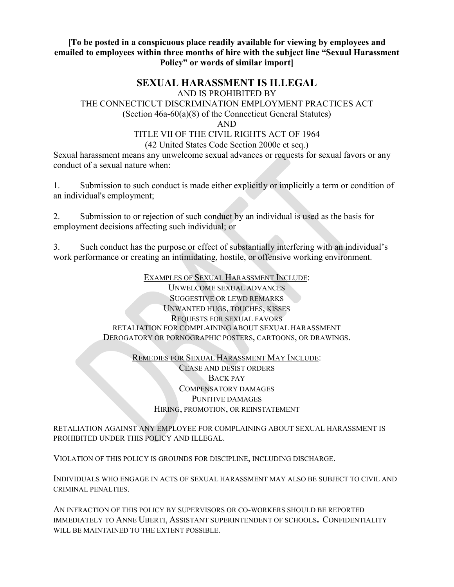### **[To be posted in a conspicuous place readily available for viewing by employees and emailed to employees within three months of hire with the subject line "Sexual Harassment Policy" or words of similar import]**

# **SEXUAL HARASSMENT IS ILLEGAL**

AND IS PROHIBITED BY

# THE CONNECTICUT DISCRIMINATION EMPLOYMENT PRACTICES ACT

(Section 46a-60(a)(8) of the Connecticut General Statutes)

AND

#### TITLE VII OF THE CIVIL RIGHTS ACT OF 1964 (42 United States Code Section 2000e et seq.)

Sexual harassment means any unwelcome sexual advances or requests for sexual favors or any conduct of a sexual nature when:

1. Submission to such conduct is made either explicitly or implicitly a term or condition of an individual's employment;

2. Submission to or rejection of such conduct by an individual is used as the basis for employment decisions affecting such individual; or

3. Such conduct has the purpose or effect of substantially interfering with an individual's work performance or creating an intimidating, hostile, or offensive working environment.

> EXAMPLES OF SEXUAL HARASSMENT INCLUDE: UNWELCOME SEXUAL ADVANCES SUGGESTIVE OR LEWD REMARKS UNWANTED HUGS, TOUCHES, KISSES REQUESTS FOR SEXUAL FAVORS RETALIATION FOR COMPLAINING ABOUT SEXUAL HARASSMENT DEROGATORY OR PORNOGRAPHIC POSTERS, CARTOONS, OR DRAWINGS.

> > REMEDIES FOR SEXUAL HARASSMENT MAY INCLUDE: CEASE AND DESIST ORDERS BACK PAY COMPENSATORY DAMAGES PUNITIVE DAMAGES HIRING, PROMOTION, OR REINSTATEMENT

RETALIATION AGAINST ANY EMPLOYEE FOR COMPLAINING ABOUT SEXUAL HARASSMENT IS PROHIBITED UNDER THIS POLICY AND ILLEGAL.

VIOLATION OF THIS POLICY IS GROUNDS FOR DISCIPLINE, INCLUDING DISCHARGE.

INDIVIDUALS WHO ENGAGE IN ACTS OF SEXUAL HARASSMENT MAY ALSO BE SUBJECT TO CIVIL AND CRIMINAL PENALTIES.

AN INFRACTION OF THIS POLICY BY SUPERVISORS OR CO-WORKERS SHOULD BE REPORTED IMMEDIATELY TO ANNE UBERTI, ASSISTANT SUPERINTENDENT OF SCHOOLS**.** CONFIDENTIALITY WILL BE MAINTAINED TO THE EXTENT POSSIBLE.